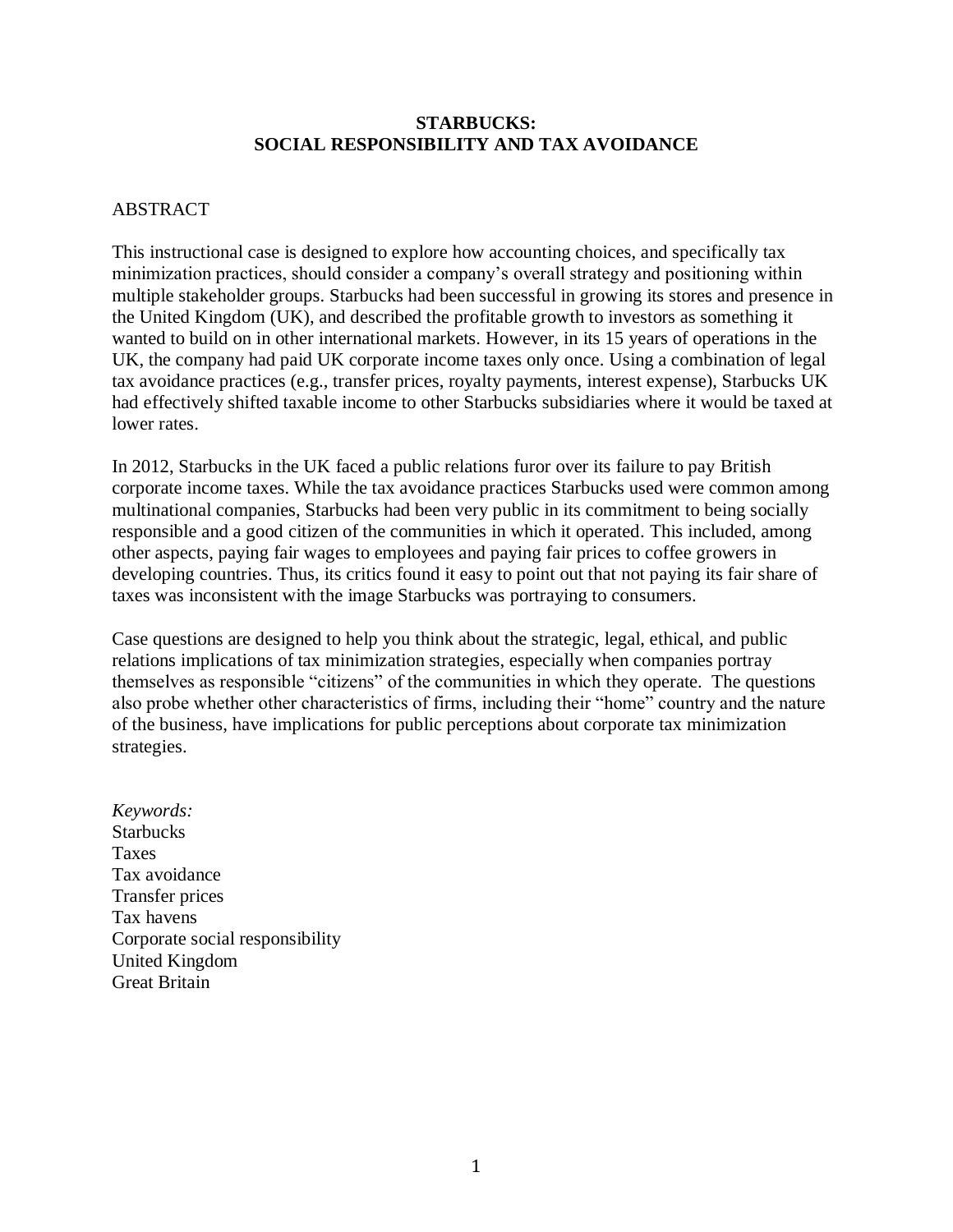### **STARBUCKS: SOCIAL RESPONSIBILITY AND TAX AVOIDANCE**

### ABSTRACT

This instructional case is designed to explore how accounting choices, and specifically tax minimization practices, should consider a company's overall strategy and positioning within multiple stakeholder groups. Starbucks had been successful in growing its stores and presence in the United Kingdom (UK), and described the profitable growth to investors as something it wanted to build on in other international markets. However, in its 15 years of operations in the UK, the company had paid UK corporate income taxes only once. Using a combination of legal tax avoidance practices (e.g., transfer prices, royalty payments, interest expense), Starbucks UK had effectively shifted taxable income to other Starbucks subsidiaries where it would be taxed at lower rates.

In 2012, Starbucks in the UK faced a public relations furor over its failure to pay British corporate income taxes. While the tax avoidance practices Starbucks used were common among multinational companies, Starbucks had been very public in its commitment to being socially responsible and a good citizen of the communities in which it operated. This included, among other aspects, paying fair wages to employees and paying fair prices to coffee growers in developing countries. Thus, its critics found it easy to point out that not paying its fair share of taxes was inconsistent with the image Starbucks was portraying to consumers.

Case questions are designed to help you think about the strategic, legal, ethical, and public relations implications of tax minimization strategies, especially when companies portray themselves as responsible "citizens" of the communities in which they operate. The questions also probe whether other characteristics of firms, including their "home" country and the nature of the business, have implications for public perceptions about corporate tax minimization strategies.

*Keywords:* **Starbucks** Taxes Tax avoidance Transfer prices Tax havens Corporate social responsibility United Kingdom Great Britain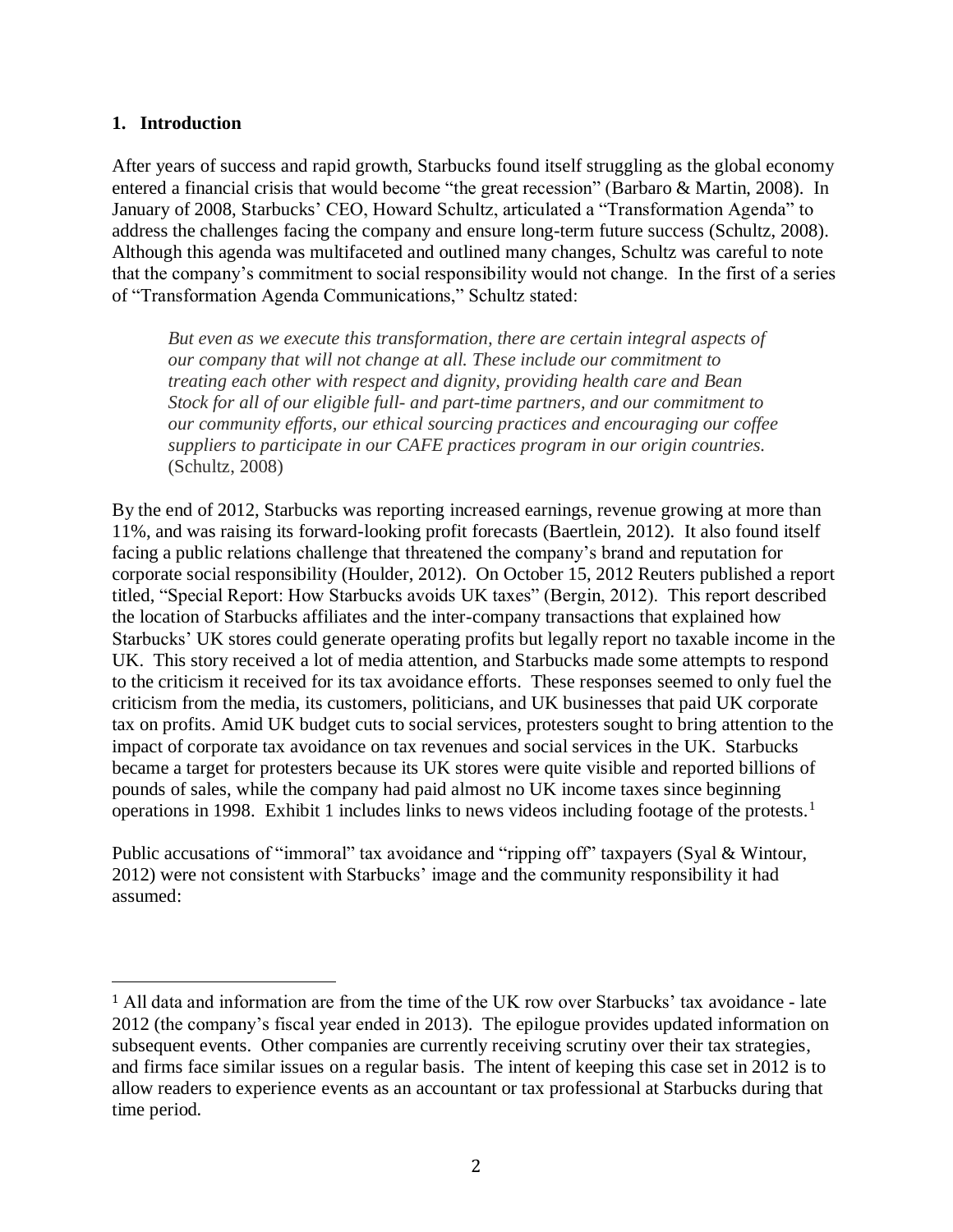### **1. Introduction**

 $\overline{\phantom{a}}$ 

After years of success and rapid growth, Starbucks found itself struggling as the global economy entered a financial crisis that would become "the great recession" (Barbaro & Martin, 2008). In January of 2008, Starbucks' CEO, Howard Schultz, articulated a "Transformation Agenda" to address the challenges facing the company and ensure long-term future success (Schultz, 2008). Although this agenda was multifaceted and outlined many changes, Schultz was careful to note that the company's commitment to social responsibility would not change. In the first of a series of "Transformation Agenda Communications," Schultz stated:

*But even as we execute this transformation, there are certain integral aspects of our company that will not change at all. These include our commitment to treating each other with respect and dignity, providing health care and Bean Stock for all of our eligible full- and part-time partners, and our commitment to our community efforts, our ethical sourcing practices and encouraging our coffee suppliers to participate in our CAFE practices program in our origin countries.*  (Schultz, 2008)

By the end of 2012, Starbucks was reporting increased earnings, revenue growing at more than 11%, and was raising its forward-looking profit forecasts (Baertlein, 2012). It also found itself facing a public relations challenge that threatened the company's brand and reputation for corporate social responsibility (Houlder, 2012). On October 15, 2012 Reuters published a report titled, "Special Report: How Starbucks avoids UK taxes" (Bergin, 2012). This report described the location of Starbucks affiliates and the inter-company transactions that explained how Starbucks' UK stores could generate operating profits but legally report no taxable income in the UK. This story received a lot of media attention, and Starbucks made some attempts to respond to the criticism it received for its tax avoidance efforts. These responses seemed to only fuel the criticism from the media, its customers, politicians, and UK businesses that paid UK corporate tax on profits. Amid UK budget cuts to social services, protesters sought to bring attention to the impact of corporate tax avoidance on tax revenues and social services in the UK. Starbucks became a target for protesters because its UK stores were quite visible and reported billions of pounds of sales, while the company had paid almost no UK income taxes since beginning operations in 1998. Exhibit 1 includes links to news videos including footage of the protests.<sup>1</sup>

Public accusations of "immoral" tax avoidance and "ripping off" taxpayers (Syal & Wintour, 2012) were not consistent with Starbucks' image and the community responsibility it had assumed:

<sup>1</sup> All data and information are from the time of the UK row over Starbucks' tax avoidance - late 2012 (the company's fiscal year ended in 2013). The epilogue provides updated information on subsequent events. Other companies are currently receiving scrutiny over their tax strategies, and firms face similar issues on a regular basis. The intent of keeping this case set in 2012 is to allow readers to experience events as an accountant or tax professional at Starbucks during that time period.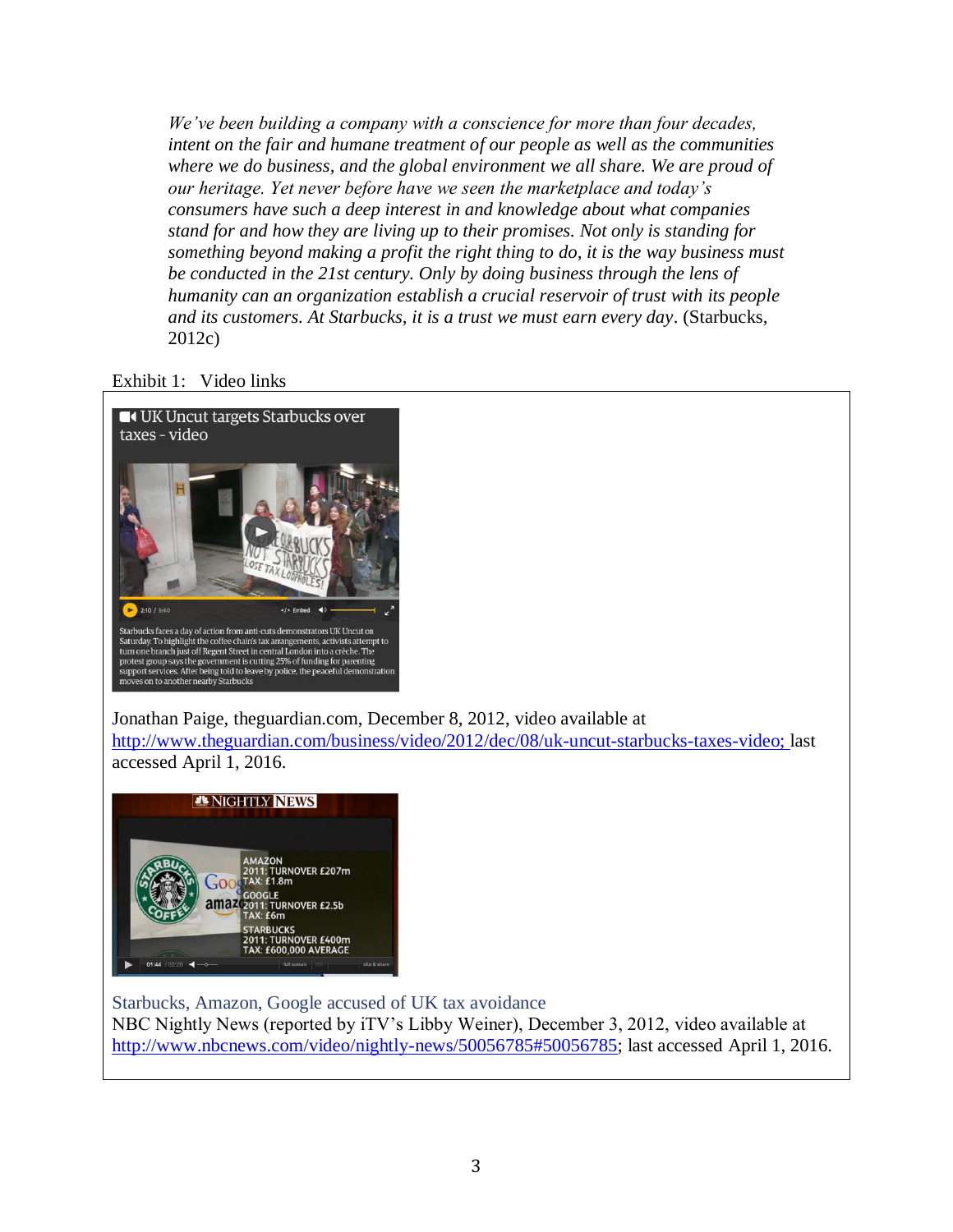*We've been building a company with a conscience for more than four decades, intent on the fair and humane treatment of our people as well as the communities where we do business, and the global environment we all share. We are proud of our heritage. Yet never before have we seen the marketplace and today's consumers have such a deep interest in and knowledge about what companies stand for and how they are living up to their promises. Not only is standing for something beyond making a profit the right thing to do, it is the way business must be conducted in the 21st century. Only by doing business through the lens of humanity can an organization establish a crucial reservoir of trust with its people and its customers. At Starbucks, it is a trust we must earn every day*. (Starbucks, 2012c)

Exhibit 1: Video links



Jonathan Paige, theguardian.com, December 8, 2012, video available at [http://www.theguardian.com/business/video/2012/dec/08/uk-uncut-starbucks-taxes-video;](http://www.theguardian.com/business/video/2012/dec/08/uk-uncut-starbucks-taxes-video) last accessed April 1, 2016.



Starbucks, Amazon, Google accused of UK tax avoidance NBC Nightly News (reported by iTV's Libby Weiner), December 3, 2012, video available at [http://www.nbcnews.com/video/nightly-news/50056785#50056785;](http://www.nbcnews.com/video/nightly-news/50056785#50056785) last accessed April 1, 2016.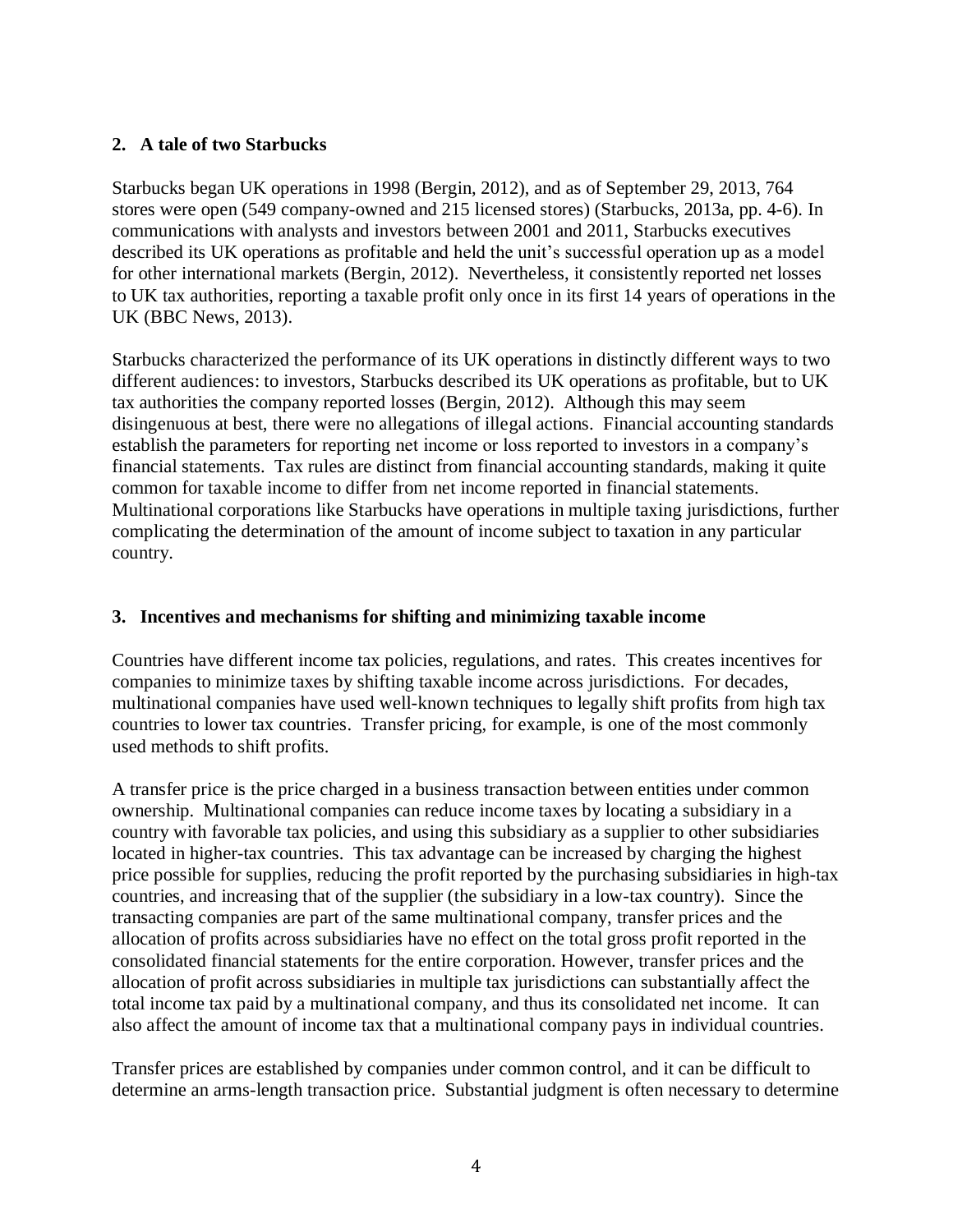# **2. A tale of two Starbucks**

Starbucks began UK operations in 1998 (Bergin, 2012), and as of September 29, 2013, 764 stores were open (549 company-owned and 215 licensed stores) (Starbucks, 2013a, pp. 4-6). In communications with analysts and investors between 2001 and 2011, Starbucks executives described its UK operations as profitable and held the unit's successful operation up as a model for other international markets (Bergin, 2012). Nevertheless, it consistently reported net losses to UK tax authorities, reporting a taxable profit only once in its first 14 years of operations in the UK (BBC News, 2013).

Starbucks characterized the performance of its UK operations in distinctly different ways to two different audiences: to investors, Starbucks described its UK operations as profitable, but to UK tax authorities the company reported losses (Bergin, 2012). Although this may seem disingenuous at best, there were no allegations of illegal actions. Financial accounting standards establish the parameters for reporting net income or loss reported to investors in a company's financial statements. Tax rules are distinct from financial accounting standards, making it quite common for taxable income to differ from net income reported in financial statements. Multinational corporations like Starbucks have operations in multiple taxing jurisdictions, further complicating the determination of the amount of income subject to taxation in any particular country.

# **3. Incentives and mechanisms for shifting and minimizing taxable income**

Countries have different income tax policies, regulations, and rates. This creates incentives for companies to minimize taxes by shifting taxable income across jurisdictions. For decades, multinational companies have used well-known techniques to legally shift profits from high tax countries to lower tax countries. Transfer pricing, for example, is one of the most commonly used methods to shift profits.

A transfer price is the price charged in a business transaction between entities under common ownership. Multinational companies can reduce income taxes by locating a subsidiary in a country with favorable tax policies, and using this subsidiary as a supplier to other subsidiaries located in higher-tax countries. This tax advantage can be increased by charging the highest price possible for supplies, reducing the profit reported by the purchasing subsidiaries in high-tax countries, and increasing that of the supplier (the subsidiary in a low-tax country). Since the transacting companies are part of the same multinational company, transfer prices and the allocation of profits across subsidiaries have no effect on the total gross profit reported in the consolidated financial statements for the entire corporation. However, transfer prices and the allocation of profit across subsidiaries in multiple tax jurisdictions can substantially affect the total income tax paid by a multinational company, and thus its consolidated net income. It can also affect the amount of income tax that a multinational company pays in individual countries.

Transfer prices are established by companies under common control, and it can be difficult to determine an arms-length transaction price. Substantial judgment is often necessary to determine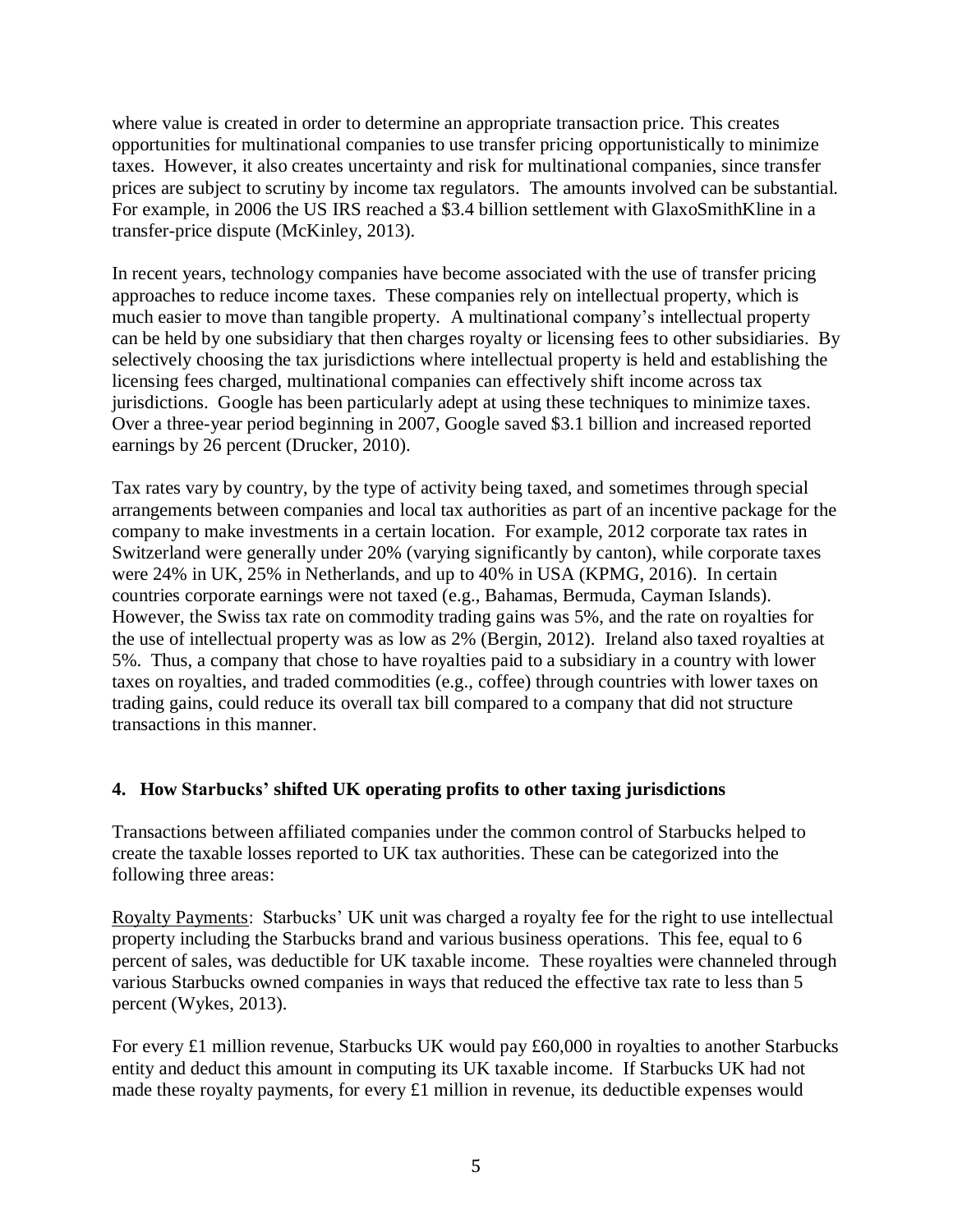where value is created in order to determine an appropriate transaction price. This creates opportunities for multinational companies to use transfer pricing opportunistically to minimize taxes. However, it also creates uncertainty and risk for multinational companies, since transfer prices are subject to scrutiny by income tax regulators. The amounts involved can be substantial. For example, in 2006 the US IRS reached a \$3.4 billion settlement with GlaxoSmithKline in a transfer-price dispute (McKinley, 2013).

In recent years, technology companies have become associated with the use of transfer pricing approaches to reduce income taxes. These companies rely on intellectual property, which is much easier to move than tangible property. A multinational company's intellectual property can be held by one subsidiary that then charges royalty or licensing fees to other subsidiaries. By selectively choosing the tax jurisdictions where intellectual property is held and establishing the licensing fees charged, multinational companies can effectively shift income across tax jurisdictions. Google has been particularly adept at using these techniques to minimize taxes. Over a three-year period beginning in 2007, Google saved \$3.1 billion and increased reported earnings by 26 percent (Drucker, 2010).

Tax rates vary by country, by the type of activity being taxed, and sometimes through special arrangements between companies and local tax authorities as part of an incentive package for the company to make investments in a certain location. For example, 2012 corporate tax rates in Switzerland were generally under 20% (varying significantly by canton), while corporate taxes were 24% in UK, 25% in Netherlands, and up to 40% in USA (KPMG, 2016). In certain countries corporate earnings were not taxed (e.g., Bahamas, Bermuda, Cayman Islands). However, the Swiss tax rate on commodity trading gains was 5%, and the rate on royalties for the use of intellectual property was as low as 2% (Bergin, 2012). Ireland also taxed royalties at 5%. Thus, a company that chose to have royalties paid to a subsidiary in a country with lower taxes on royalties, and traded commodities (e.g., coffee) through countries with lower taxes on trading gains, could reduce its overall tax bill compared to a company that did not structure transactions in this manner.

# **4. How Starbucks' shifted UK operating profits to other taxing jurisdictions**

Transactions between affiliated companies under the common control of Starbucks helped to create the taxable losses reported to UK tax authorities. These can be categorized into the following three areas:

Royalty Payments: Starbucks' UK unit was charged a royalty fee for the right to use intellectual property including the Starbucks brand and various business operations. This fee, equal to 6 percent of sales, was deductible for UK taxable income. These royalties were channeled through various Starbucks owned companies in ways that reduced the effective tax rate to less than 5 percent (Wykes, 2013).

For every £1 million revenue, Starbucks UK would pay £60,000 in royalties to another Starbucks entity and deduct this amount in computing its UK taxable income. If Starbucks UK had not made these royalty payments, for every £1 million in revenue, its deductible expenses would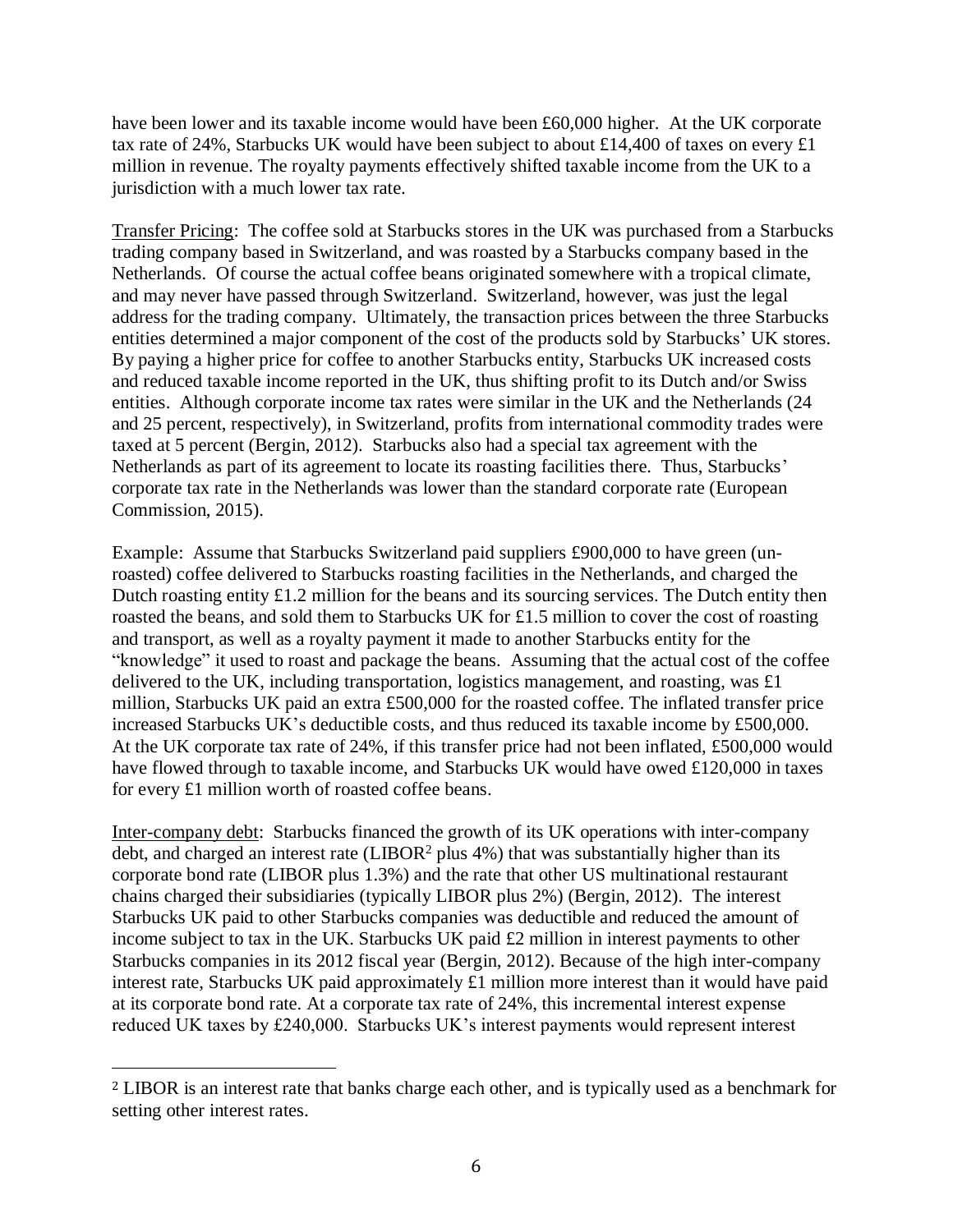have been lower and its taxable income would have been £60,000 higher. At the UK corporate tax rate of 24%, Starbucks UK would have been subject to about £14,400 of taxes on every £1 million in revenue. The royalty payments effectively shifted taxable income from the UK to a jurisdiction with a much lower tax rate.

Transfer Pricing: The coffee sold at Starbucks stores in the UK was purchased from a Starbucks trading company based in Switzerland, and was roasted by a Starbucks company based in the Netherlands. Of course the actual coffee beans originated somewhere with a tropical climate, and may never have passed through Switzerland. Switzerland, however, was just the legal address for the trading company. Ultimately, the transaction prices between the three Starbucks entities determined a major component of the cost of the products sold by Starbucks' UK stores. By paying a higher price for coffee to another Starbucks entity, Starbucks UK increased costs and reduced taxable income reported in the UK, thus shifting profit to its Dutch and/or Swiss entities. Although corporate income tax rates were similar in the UK and the Netherlands (24 and 25 percent, respectively), in Switzerland, profits from international commodity trades were taxed at 5 percent (Bergin, 2012). Starbucks also had a special tax agreement with the Netherlands as part of its agreement to locate its roasting facilities there. Thus, Starbucks' corporate tax rate in the Netherlands was lower than the standard corporate rate (European Commission, 2015).

Example: Assume that Starbucks Switzerland paid suppliers £900,000 to have green (unroasted) coffee delivered to Starbucks roasting facilities in the Netherlands, and charged the Dutch roasting entity £1.2 million for the beans and its sourcing services. The Dutch entity then roasted the beans, and sold them to Starbucks UK for £1.5 million to cover the cost of roasting and transport, as well as a royalty payment it made to another Starbucks entity for the "knowledge" it used to roast and package the beans. Assuming that the actual cost of the coffee delivered to the UK, including transportation, logistics management, and roasting, was £1 million, Starbucks UK paid an extra £500,000 for the roasted coffee. The inflated transfer price increased Starbucks UK's deductible costs, and thus reduced its taxable income by £500,000. At the UK corporate tax rate of 24%, if this transfer price had not been inflated, £500,000 would have flowed through to taxable income, and Starbucks UK would have owed £120,000 in taxes for every £1 million worth of roasted coffee beans.

Inter-company debt: Starbucks financed the growth of its UK operations with inter-company debt, and charged an interest rate  $(LIBOR<sup>2</sup>)$  plus 4%) that was substantially higher than its corporate bond rate (LIBOR plus 1.3%) and the rate that other US multinational restaurant chains charged their subsidiaries (typically LIBOR plus 2%) (Bergin, 2012). The interest Starbucks UK paid to other Starbucks companies was deductible and reduced the amount of income subject to tax in the UK. Starbucks UK paid £2 million in interest payments to other Starbucks companies in its 2012 fiscal year (Bergin, 2012). Because of the high inter-company interest rate, Starbucks UK paid approximately £1 million more interest than it would have paid at its corporate bond rate. At a corporate tax rate of 24%, this incremental interest expense reduced UK taxes by £240,000. Starbucks UK's interest payments would represent interest

 $\overline{\phantom{a}}$ 

<sup>2</sup> LIBOR is an interest rate that banks charge each other, and is typically used as a benchmark for setting other interest rates.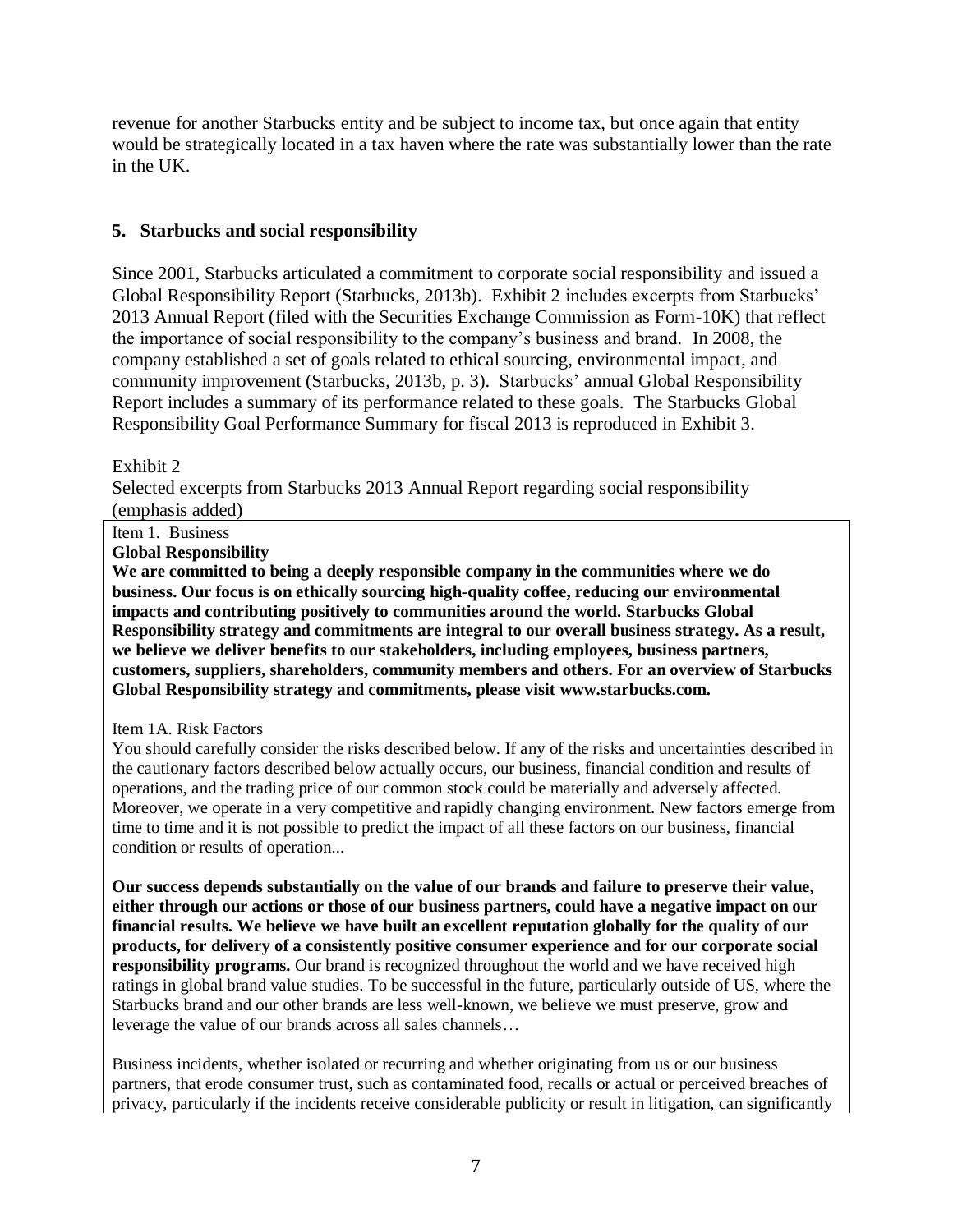revenue for another Starbucks entity and be subject to income tax, but once again that entity would be strategically located in a tax haven where the rate was substantially lower than the rate in the UK.

# **5. Starbucks and social responsibility**

Since 2001, Starbucks articulated a commitment to corporate social responsibility and issued a Global Responsibility Report (Starbucks, 2013b). Exhibit 2 includes excerpts from Starbucks' 2013 Annual Report (filed with the Securities Exchange Commission as Form-10K) that reflect the importance of social responsibility to the company's business and brand. In 2008, the company established a set of goals related to ethical sourcing, environmental impact, and community improvement (Starbucks, 2013b, p. 3). Starbucks' annual Global Responsibility Report includes a summary of its performance related to these goals. The Starbucks Global Responsibility Goal Performance Summary for fiscal 2013 is reproduced in Exhibit 3.

#### Exhibit 2

Selected excerpts from Starbucks 2013 Annual Report regarding social responsibility (emphasis added)

#### Item 1. Business

**Global Responsibility**

**We are committed to being a deeply responsible company in the communities where we do business. Our focus is on ethically sourcing high-quality coffee, reducing our environmental impacts and contributing positively to communities around the world. Starbucks Global Responsibility strategy and commitments are integral to our overall business strategy. As a result, we believe we deliver benefits to our stakeholders, including employees, business partners, customers, suppliers, shareholders, community members and others. For an overview of Starbucks Global Responsibility strategy and commitments, please visit www.starbucks.com.**

#### Item 1A. Risk Factors

You should carefully consider the risks described below. If any of the risks and uncertainties described in the cautionary factors described below actually occurs, our business, financial condition and results of operations, and the trading price of our common stock could be materially and adversely affected. Moreover, we operate in a very competitive and rapidly changing environment. New factors emerge from time to time and it is not possible to predict the impact of all these factors on our business, financial condition or results of operation...

**Our success depends substantially on the value of our brands and failure to preserve their value, either through our actions or those of our business partners, could have a negative impact on our financial results. We believe we have built an excellent reputation globally for the quality of our products, for delivery of a consistently positive consumer experience and for our corporate social responsibility programs.** Our brand is recognized throughout the world and we have received high ratings in global brand value studies. To be successful in the future, particularly outside of US, where the Starbucks brand and our other brands are less well-known, we believe we must preserve, grow and leverage the value of our brands across all sales channels…

Business incidents, whether isolated or recurring and whether originating from us or our business partners, that erode consumer trust, such as contaminated food, recalls or actual or perceived breaches of privacy, particularly if the incidents receive considerable publicity or result in litigation, can significantly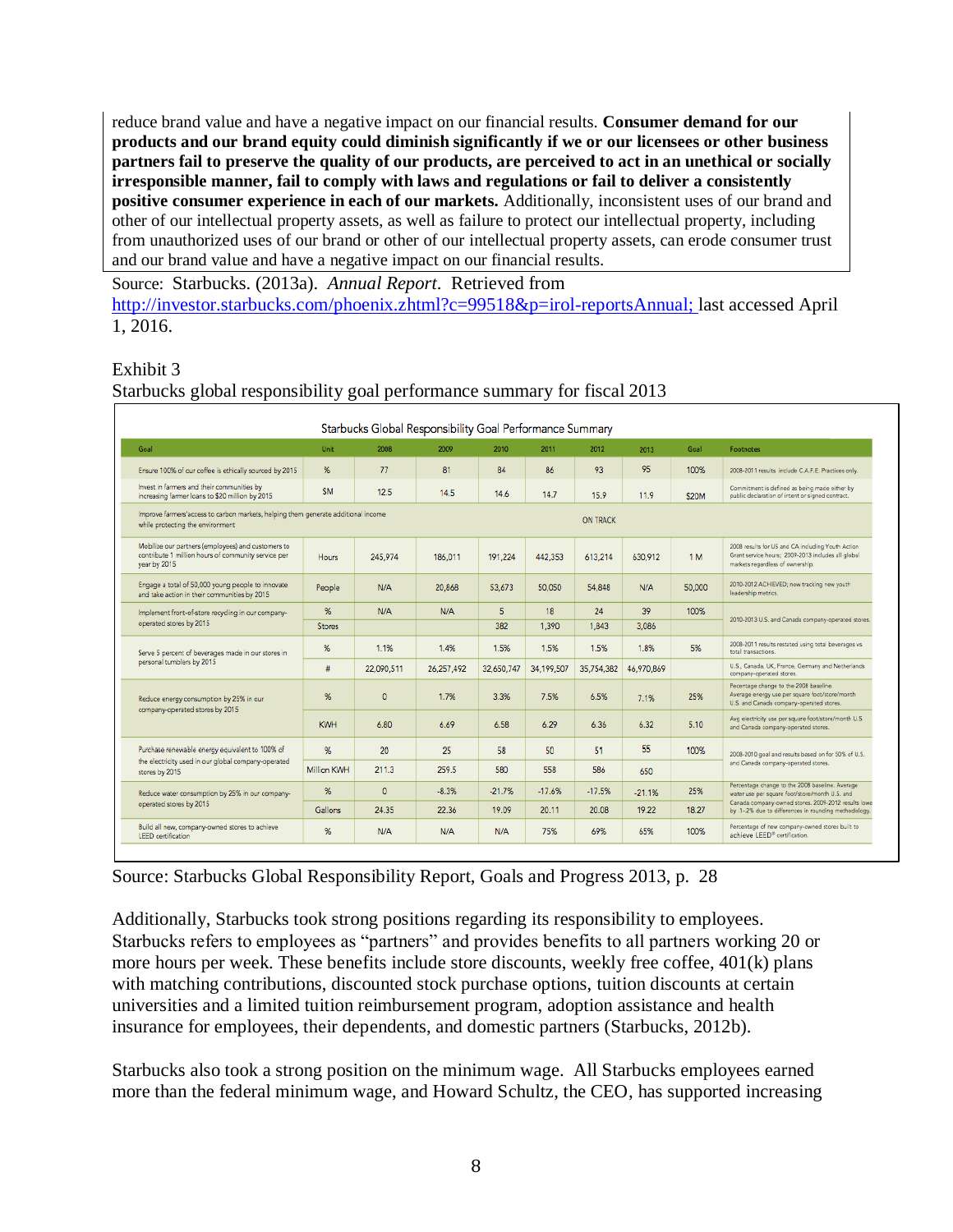reduce brand value and have a negative impact on our financial results. **Consumer demand for our products and our brand equity could diminish significantly if we or our licensees or other business partners fail to preserve the quality of our products, are perceived to act in an unethical or socially irresponsible manner, fail to comply with laws and regulations or fail to deliver a consistently positive consumer experience in each of our markets.** Additionally, inconsistent uses of our brand and other of our intellectual property assets, as well as failure to protect our intellectual property, including from unauthorized uses of our brand or other of our intellectual property assets, can erode consumer trust and our brand value and have a negative impact on our financial results.

Source: Starbucks. (2013a). *Annual Report*. Retrieved from [http://investor.starbucks.com/phoenix.zhtml?c=99518&p=irol-reportsAnnual;](http://investor.starbucks.com/phoenix.zhtml?c=99518&p=irol-reportsAnnual) last accessed April 1, 2016.

#### Exhibit 3

| Goal                                                                                                                      | Unit               | 2008       | 2009       | 2010       | 2011       | 2012            | 2013       | Goal   | <b>Footnotes</b>                                                                                                                                                                                                  |
|---------------------------------------------------------------------------------------------------------------------------|--------------------|------------|------------|------------|------------|-----------------|------------|--------|-------------------------------------------------------------------------------------------------------------------------------------------------------------------------------------------------------------------|
| Ensure 100% of our coffee is ethically sourced by 2015                                                                    | %                  | 77         | 81         | 84         | 86         | 93              | 95         | 100%   | 2008-2011 results include C.A.F.E. Practices only.                                                                                                                                                                |
| Invest in farmers and their communities by<br>increasing farmer loans to \$20 million by 2015                             | <b>SM</b>          | 12.5       | 14.5       | 14.6       | 14.7       | 15.9            | 11.9       | \$20M  | Commitment is defined as being made either by<br>public declaration of intent or signed contract.                                                                                                                 |
| Improve farmers'access to carbon markets, helping them generate additional income<br>while protecting the environment     |                    |            |            |            |            | <b>ON TRACK</b> |            |        |                                                                                                                                                                                                                   |
| Mobilize our partners (employees) and customers to<br>contribute 1 million hours of community service per<br>year by 2015 | <b>Hours</b>       | 245.974    | 186,011    | 191.224    | 442.353    | 613.214         | 630.912    | 1 M    | 2008 results for US and CA including Youth Action<br>Grant service hours; 2009-2013 includes all global<br>markets regardless of ownership.                                                                       |
| Engage a total of 50,000 young people to innovate<br>and take action in their communities by 2015                         | People             | N/A        | 20,868     | 53,673     | 50,050     | 54,848          | N/A        | 50,000 | 2010-2012 ACHIEVED; now tracking new youth<br>leadership metrics.                                                                                                                                                 |
| Implement front-of-store recycling in our company-<br>operated stores by 2015                                             | %                  | N/A        | N/A        | 5          | 18         | 24              | 39         | 100%   | 2010-2013 U.S. and Canada company-operated stores.                                                                                                                                                                |
|                                                                                                                           | <b>Stores</b>      |            |            | 382        | 1.390      | 1.843           | 3.086      |        |                                                                                                                                                                                                                   |
| Serve 5 percent of beverages made in our stores in<br>personal tumblers by 2015                                           | %                  | 1.1%       | 1.4%       | 1.5%       | 1.5%       | 1.5%            | 1.8%       | 5%     | 2008-2011 results restated using total beverages vs.<br>total transactions.                                                                                                                                       |
|                                                                                                                           | #                  | 22,090,511 | 26,257,492 | 32,650,747 | 34,199,507 | 35,754,382      | 46,970,869 |        | U.S., Canada, UK, France, Germany and Netherlands<br>company-operated stores.                                                                                                                                     |
| Reduce energy consumption by 25% in our<br>company-operated stores by 2015                                                | %                  | $\Omega$   | 1.7%       | 3.3%       | 7.5%       | 6.5%            | 7.1%       | 25%    | Pecentage change to the 2008 baseline.<br>Average energy use per square foot/store/month<br>U.S. and Canada company-operated stores.                                                                              |
|                                                                                                                           | <b>KWH</b>         | 6.80       | 6.69       | 6.58       | 6.29       | 6.36            | 6.32       | 5.10   | Avg electricity use per square foot/store/month U.S.<br>and Canada company-operated stores.                                                                                                                       |
| Purchase renewable energy equivalent to 100% of<br>the electricity used in our global company-operated<br>stores by 2015  | $\%$               | 20         | 25         | 58         | 50         | 51              | 55         | 100%   | 2008-2010 goal and results based on for 50% of U.S.<br>and Canada company-operated stores.                                                                                                                        |
|                                                                                                                           | <b>Million KWH</b> | 211.3      | 259.5      | 580        | 558        | 586             | 650        |        |                                                                                                                                                                                                                   |
| Reduce water consumption by 25% in our company-<br>operated stores by 2015                                                | %                  | $\Omega$   | $-8.3%$    | $-21.7%$   | $-17.6%$   | $-17.5%$        | $-21.1%$   | 25%    | Percentage change to the 2008 baseline. Average<br>water use per square foot/store/month U.S. and<br>Canada company-owned stores. 2009-2012 results lowe<br>by .1-.2% due to differences in rounding methodology. |
|                                                                                                                           | Gallons            | 24.35      | 22.36      | 19.09      | 20.11      | 20.08           | 19.22      | 18.27  |                                                                                                                                                                                                                   |

#### Starbucks global responsibility goal performance summary for fiscal 2013

Source: Starbucks Global Responsibility Report, Goals and Progress 2013, p. 28

Additionally, Starbucks took strong positions regarding its responsibility to employees. Starbucks refers to employees as "partners" and provides benefits to all partners working 20 or more hours per week. These benefits include store discounts, weekly free coffee, 401(k) plans with matching contributions, discounted stock purchase options, tuition discounts at certain universities and a limited tuition reimbursement program, adoption assistance and health insurance for employees, their dependents, and domestic partners (Starbucks, 2012b).

Starbucks also took a strong position on the minimum wage. All Starbucks employees earned more than the federal minimum wage, and Howard Schultz, the CEO, has supported increasing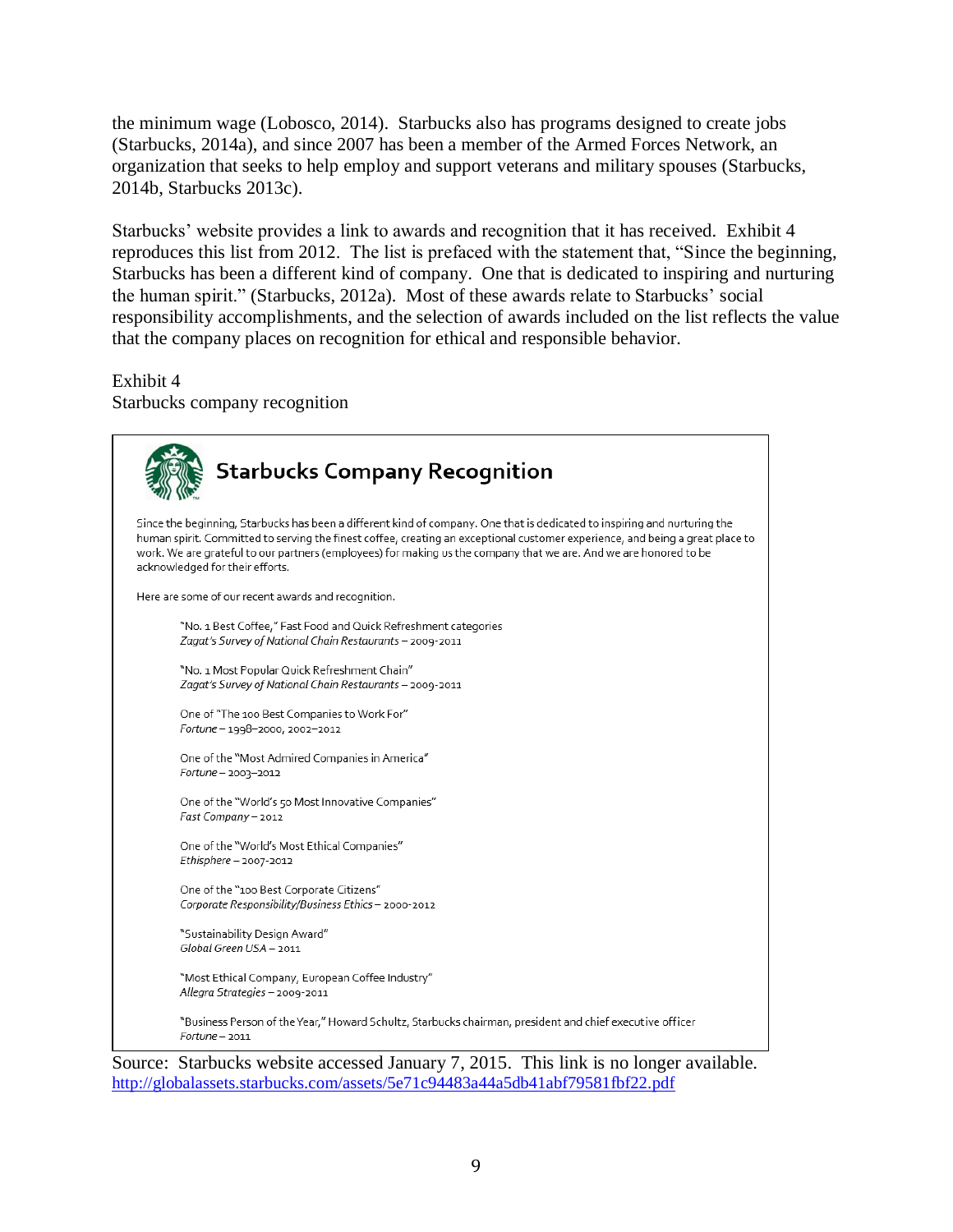the minimum wage (Lobosco, 2014). Starbucks also has programs designed to create jobs (Starbucks, 2014a), and since 2007 has been a member of the Armed Forces Network, an organization that seeks to help employ and support veterans and military spouses (Starbucks, 2014b, Starbucks 2013c).

Starbucks' website provides a link to awards and recognition that it has received. Exhibit 4 reproduces this list from 2012. The list is prefaced with the statement that, "Since the beginning, Starbucks has been a different kind of company. One that is dedicated to inspiring and nurturing the human spirit." (Starbucks, 2012a). Most of these awards relate to Starbucks' social responsibility accomplishments, and the selection of awards included on the list reflects the value that the company places on recognition for ethical and responsible behavior.

Exhibit 4

Starbucks company recognition

| <b>Starbucks Company Recognition</b>                                                                                                                                                                                                                                                                                                                                                                               |
|--------------------------------------------------------------------------------------------------------------------------------------------------------------------------------------------------------------------------------------------------------------------------------------------------------------------------------------------------------------------------------------------------------------------|
| Since the beginning, Starbucks has been a different kind of company. One that is dedicated to inspiring and nurturing the<br>human spirit. Committed to serving the finest coffee, creating an exceptional customer experience, and being a great place to<br>work. We are grateful to our partners (employees) for making us the company that we are. And we are honored to be<br>acknowledged for their efforts. |
| Here are some of our recent awards and recognition.                                                                                                                                                                                                                                                                                                                                                                |
| "No. 1 Best Coffee," Fast Food and Quick Refreshment categories<br>Zagat's Survey of National Chain Restaurants - 2009-2011                                                                                                                                                                                                                                                                                        |
| "No. 1 Most Popular Quick Refreshment Chain"<br>Zagat's Survey of National Chain Restaurants - 2009-2011                                                                                                                                                                                                                                                                                                           |
| One of "The 100 Best Companies to Work For"<br>Fortune-1998-2000, 2002-2012                                                                                                                                                                                                                                                                                                                                        |
| One of the "Most Admired Companies in America"<br>Fortune - 2003-2012                                                                                                                                                                                                                                                                                                                                              |
| One of the "World's 50 Most Innovative Companies"<br>Fast Company - 2012                                                                                                                                                                                                                                                                                                                                           |
| One of the "World's Most Ethical Companies"<br>$Ethisphere - 2007 - 2012$                                                                                                                                                                                                                                                                                                                                          |
| One of the "100 Best Corporate Citizens"<br>Corporate Responsibility/Business Ethics - 2000-2012                                                                                                                                                                                                                                                                                                                   |
| "Sustainability Design Award"<br>Global Green USA - 2011                                                                                                                                                                                                                                                                                                                                                           |
| "Most Ethical Company, European Coffee Industry"<br>Allegra Strategies - 2009-2011                                                                                                                                                                                                                                                                                                                                 |
| "Business Person of the Year," Howard Schultz, Starbucks chairman, president and chief executive officer<br>Fortune - 2011                                                                                                                                                                                                                                                                                         |
| Source: Starbucks website accessed January 7, 2015. This link is no longer available.                                                                                                                                                                                                                                                                                                                              |

<http://globalassets.starbucks.com/assets/5e71c94483a44a5db41abf79581fbf22.pdf>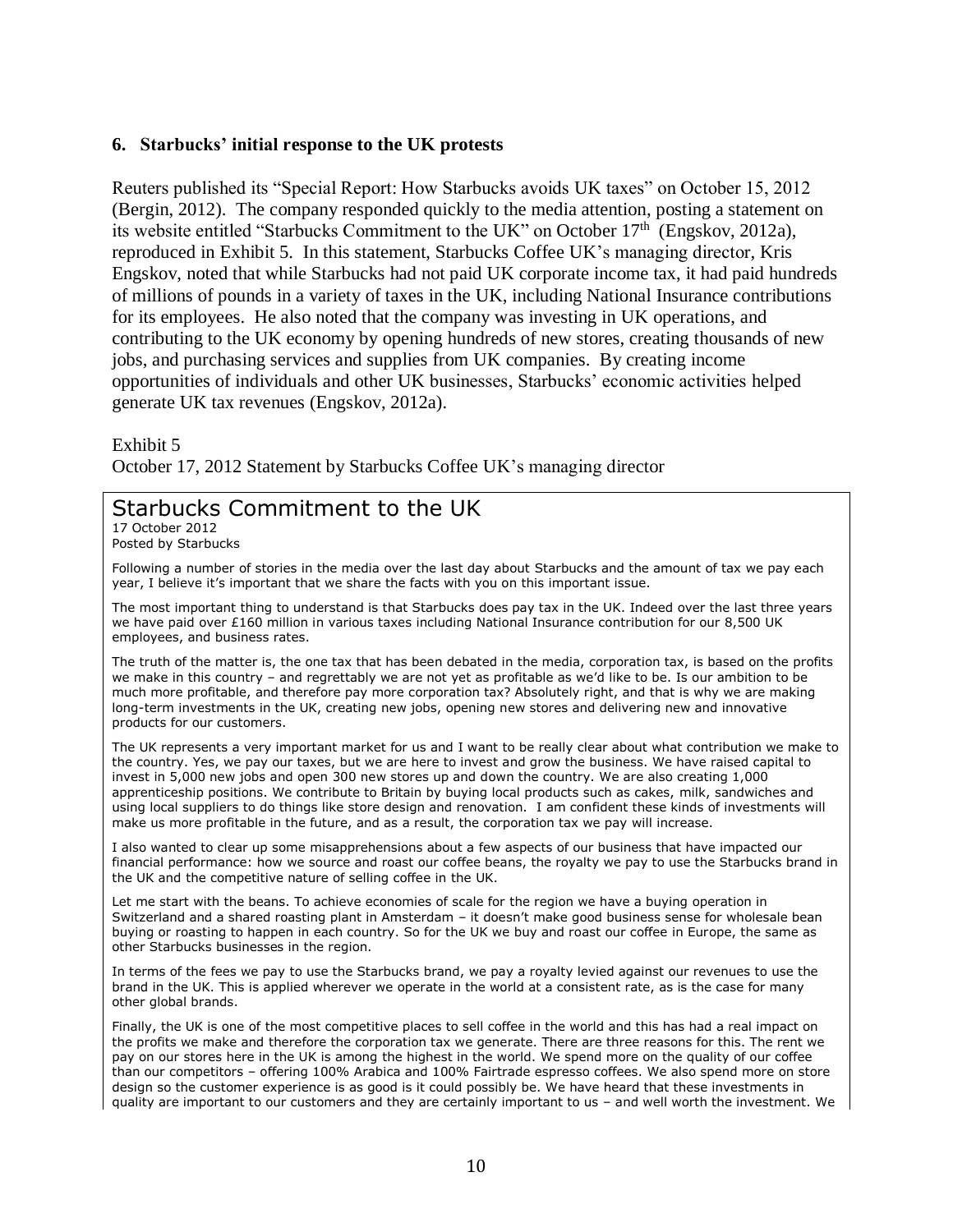#### **6. Starbucks' initial response to the UK protests**

Reuters published its "Special Report: How Starbucks avoids UK taxes" on October 15, 2012 (Bergin, 2012). The company responded quickly to the media attention, posting a statement on its website entitled "Starbucks Commitment to the UK" on October 17th (Engskov, 2012a), reproduced in Exhibit 5. In this statement, Starbucks Coffee UK's managing director, Kris Engskov, noted that while Starbucks had not paid UK corporate income tax, it had paid hundreds of millions of pounds in a variety of taxes in the UK, including National Insurance contributions for its employees. He also noted that the company was investing in UK operations, and contributing to the UK economy by opening hundreds of new stores, creating thousands of new jobs, and purchasing services and supplies from UK companies. By creating income opportunities of individuals and other UK businesses, Starbucks' economic activities helped generate UK tax revenues (Engskov, 2012a).

Exhibit 5

October 17, 2012 Statement by Starbucks Coffee UK's managing director

# Starbucks Commitment to the UK

17 October 2012 Posted by Starbucks

Following a number of stories in the media over the last day about Starbucks and the amount of tax we pay each year, I believe it's important that we share the facts with you on this important issue.

The most important thing to understand is that Starbucks does pay tax in the UK. Indeed over the last three years we have paid over £160 million in various taxes including National Insurance contribution for our 8,500 UK employees, and business rates.

The truth of the matter is, the one tax that has been debated in the media, corporation tax, is based on the profits we make in this country – and regrettably we are not yet as profitable as we'd like to be. Is our ambition to be much more profitable, and therefore pay more corporation tax? Absolutely right, and that is why we are making long-term investments in the UK, creating new jobs, opening new stores and delivering new and innovative products for our customers.

The UK represents a very important market for us and I want to be really clear about what contribution we make to the country. Yes, we pay our taxes, but we are here to invest and grow the business. We have raised capital to invest in 5,000 new jobs and open 300 new stores up and down the country. We are also creating 1,000 apprenticeship positions. We contribute to Britain by buying local products such as cakes, milk, sandwiches and using local suppliers to do things like store design and renovation. I am confident these kinds of investments will make us more profitable in the future, and as a result, the corporation tax we pay will increase.

I also wanted to clear up some misapprehensions about a few aspects of our business that have impacted our financial performance: how we source and roast our coffee beans, the royalty we pay to use the Starbucks brand in the UK and the competitive nature of selling coffee in the UK.

Let me start with the beans. To achieve economies of scale for the region we have a buying operation in Switzerland and a shared roasting plant in Amsterdam – it doesn't make good business sense for wholesale bean buying or roasting to happen in each country. So for the UK we buy and roast our coffee in Europe, the same as other Starbucks businesses in the region.

In terms of the fees we pay to use the Starbucks brand, we pay a royalty levied against our revenues to use the brand in the UK. This is applied wherever we operate in the world at a consistent rate, as is the case for many other global brands.

Finally, the UK is one of the most competitive places to sell coffee in the world and this has had a real impact on the profits we make and therefore the corporation tax we generate. There are three reasons for this. The rent we pay on our stores here in the UK is among the highest in the world. We spend more on the quality of our coffee than our competitors – offering 100% Arabica and 100% Fairtrade espresso coffees. We also spend more on store design so the customer experience is as good is it could possibly be. We have heard that these investments in quality are important to our customers and they are certainly important to us – and well worth the investment. We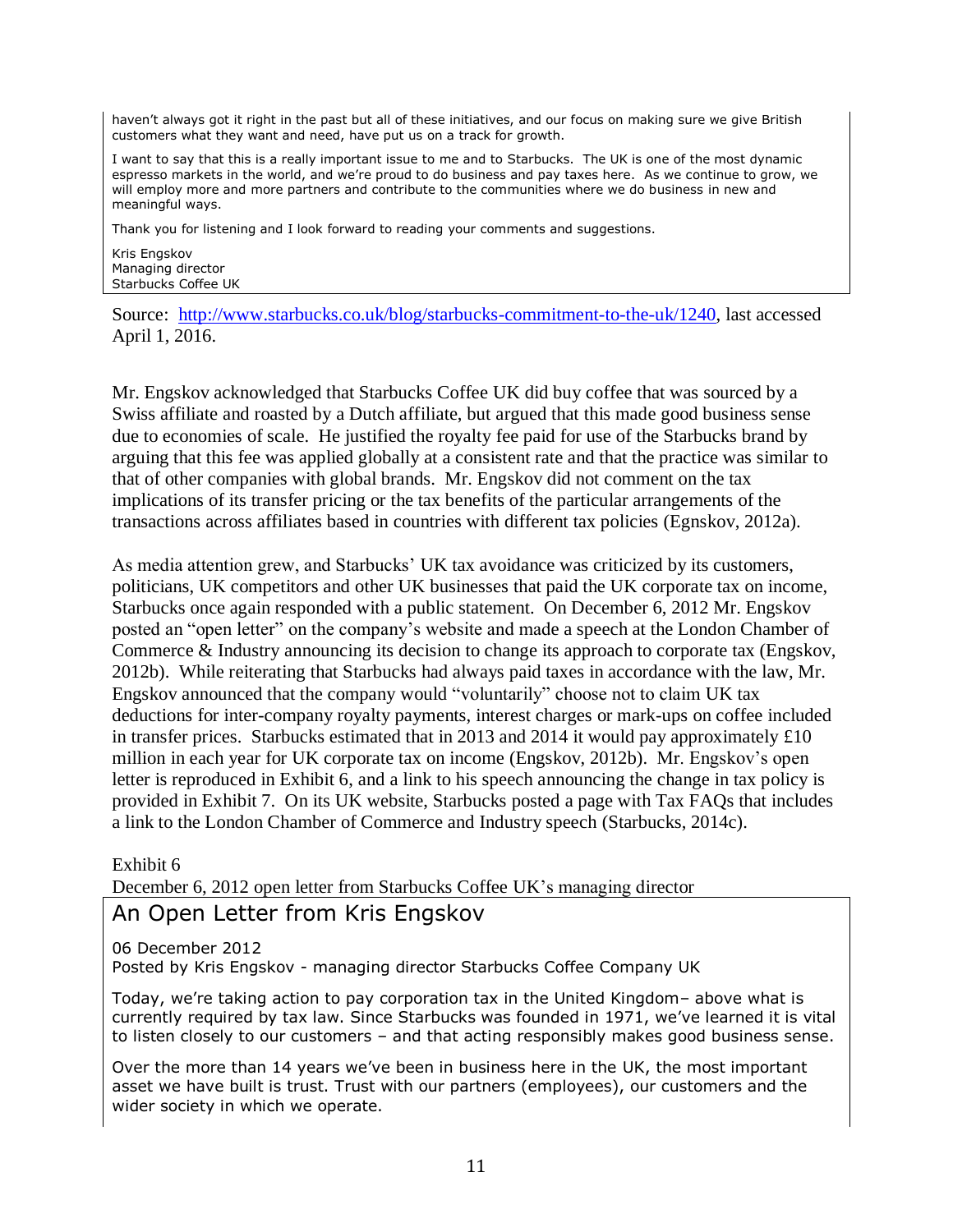haven't always got it right in the past but all of these initiatives, and our focus on making sure we give British customers what they want and need, have put us on a track for growth.

I want to say that this is a really important issue to me and to Starbucks. The UK is one of the most dynamic espresso markets in the world, and we're proud to do business and pay taxes here. As we continue to grow, we will employ more and more partners and contribute to the communities where we do business in new and meaningful ways.

Thank you for listening and I look forward to reading your comments and suggestions.

Kris Engskov Managing director Starbucks Coffee UK

Source: [http://www.starbucks.co.uk/blog/starbucks-commitment-to-the-uk/1240,](http://www.starbucks.co.uk/blog/starbucks-commitment-to-the-uk/1240) last accessed April 1, 2016.

Mr. Engskov acknowledged that Starbucks Coffee UK did buy coffee that was sourced by a Swiss affiliate and roasted by a Dutch affiliate, but argued that this made good business sense due to economies of scale. He justified the royalty fee paid for use of the Starbucks brand by arguing that this fee was applied globally at a consistent rate and that the practice was similar to that of other companies with global brands. Mr. Engskov did not comment on the tax implications of its transfer pricing or the tax benefits of the particular arrangements of the transactions across affiliates based in countries with different tax policies (Egnskov, 2012a).

As media attention grew, and Starbucks' UK tax avoidance was criticized by its customers, politicians, UK competitors and other UK businesses that paid the UK corporate tax on income, Starbucks once again responded with a public statement. On December 6, 2012 Mr. Engskov posted an "open letter" on the company's website and made a speech at the London Chamber of Commerce & Industry announcing its decision to change its approach to corporate tax (Engskov, 2012b). While reiterating that Starbucks had always paid taxes in accordance with the law, Mr. Engskov announced that the company would "voluntarily" choose not to claim UK tax deductions for inter-company royalty payments, interest charges or mark-ups on coffee included in transfer prices. Starbucks estimated that in 2013 and 2014 it would pay approximately £10 million in each year for UK corporate tax on income (Engskov, 2012b). Mr. Engskov's open letter is reproduced in Exhibit 6, and a link to his speech announcing the change in tax policy is provided in Exhibit 7. On its UK website, Starbucks posted a page with Tax FAQs that includes a link to the London Chamber of Commerce and Industry speech (Starbucks, 2014c).

Exhibit 6

December 6, 2012 open letter from Starbucks Coffee UK's managing director

# An Open Letter from Kris Engskov

06 December 2012 Posted by Kris Engskov - managing director Starbucks Coffee Company UK

Today, we're taking action to pay corporation tax in the United Kingdom– above what is currently required by tax law. Since Starbucks was founded in 1971, we've learned it is vital to listen closely to our customers – and that acting responsibly makes good business sense.

Over the more than 14 years we've been in business here in the UK, the most important asset we have built is trust. Trust with our partners (employees), our customers and the wider society in which we operate.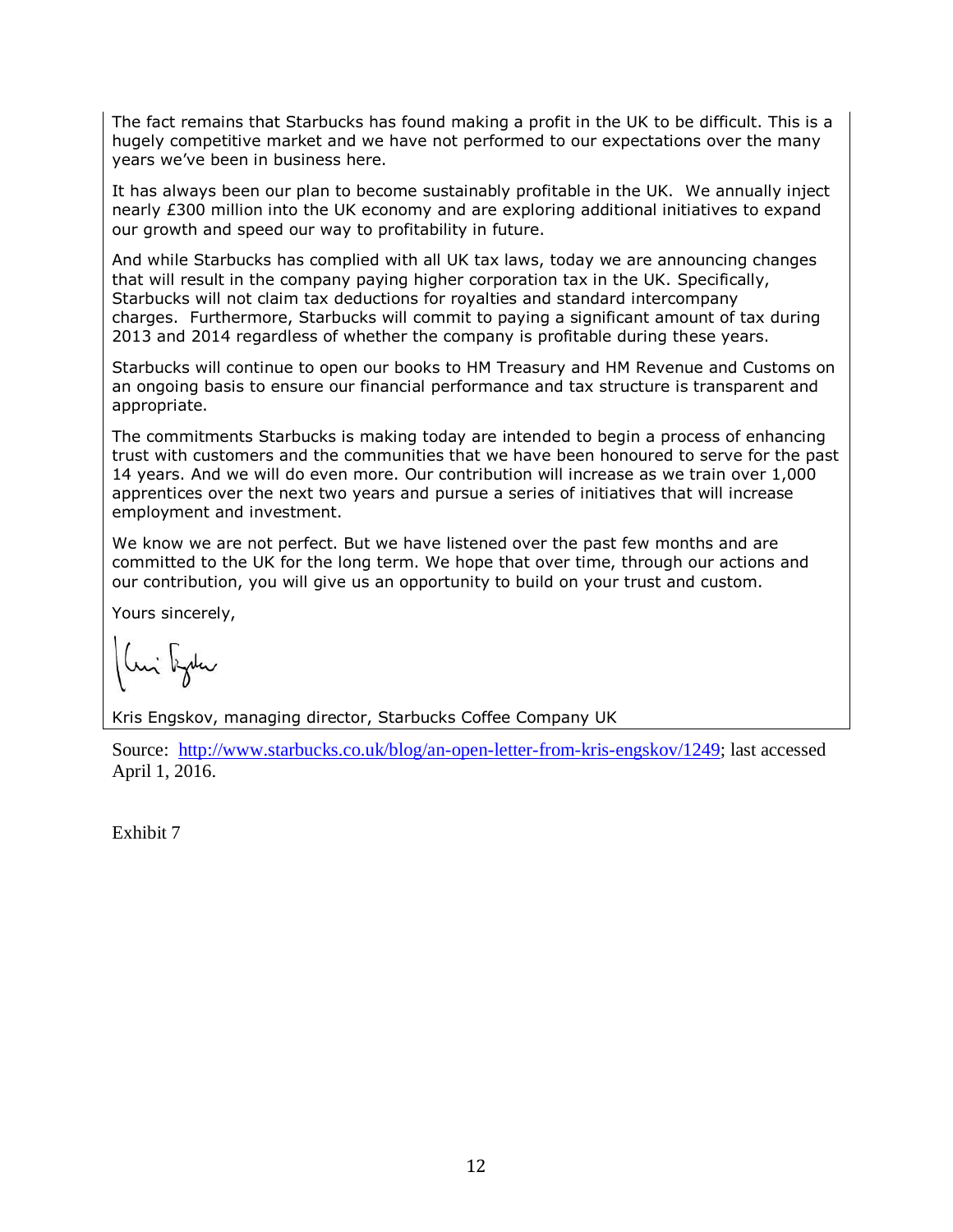The fact remains that Starbucks has found making a profit in the UK to be difficult. This is a hugely competitive market and we have not performed to our expectations over the many years we've been in business here.

It has always been our plan to become sustainably profitable in the UK. We annually inject nearly £300 million into the UK economy and are exploring additional initiatives to expand our growth and speed our way to profitability in future.

And while Starbucks has complied with all UK tax laws, today we are announcing changes that will result in the company paying higher corporation tax in the UK. Specifically, Starbucks will not claim tax deductions for royalties and standard intercompany charges. Furthermore, Starbucks will commit to paying a significant amount of tax during 2013 and 2014 regardless of whether the company is profitable during these years.

Starbucks will continue to open our books to HM Treasury and HM Revenue and Customs on an ongoing basis to ensure our financial performance and tax structure is transparent and appropriate.

The commitments Starbucks is making today are intended to begin a process of enhancing trust with customers and the communities that we have been honoured to serve for the past 14 years. And we will do even more. Our contribution will increase as we train over 1,000 apprentices over the next two years and pursue a series of initiatives that will increase employment and investment.

We know we are not perfect. But we have listened over the past few months and are committed to the UK for the long term. We hope that over time, through our actions and our contribution, you will give us an opportunity to build on your trust and custom.

Yours sincerely,

Kris Engskov, managing director, Starbucks Coffee Company UK

Source: [http://www.starbucks.co.uk/blog/an-open-letter-from-kris-engskov/1249;](http://www.starbucks.co.uk/blog/an-open-letter-from-kris-engskov/1249) last accessed April 1, 2016.

Exhibit 7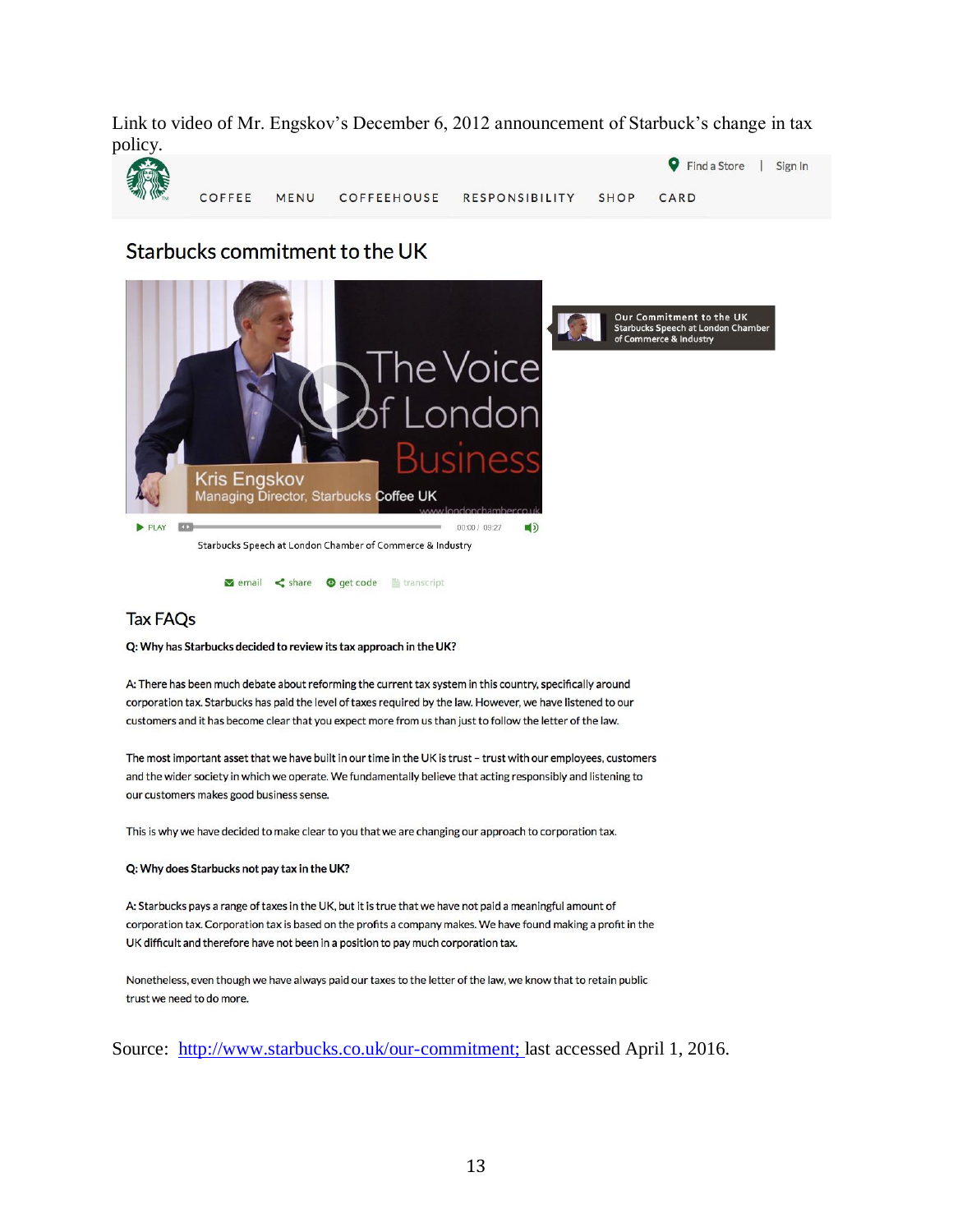Link to video of Mr. Engskov's December 6, 2012 announcement of Starbuck's change in tax policy.



# Starbucks commitment to the UK



**M** email < share ● get code ■ transcript

#### **Tax FAQs**

#### Q: Why has Starbucks decided to review its tax approach in the UK?

A: There has been much debate about reforming the current tax system in this country, specifically around corporation tax. Starbucks has paid the level of taxes required by the law. However, we have listened to our customers and it has become clear that you expect more from us than just to follow the letter of the law.

The most important asset that we have built in our time in the UK is trust - trust with our employees, customers and the wider society in which we operate. We fundamentally believe that acting responsibly and listening to our customers makes good business sense.

This is why we have decided to make clear to you that we are changing our approach to corporation tax.

#### Q: Why does Starbucks not pay tax in the UK?

A: Starbucks pays a range of taxes in the UK, but it is true that we have not paid a meaningful amount of corporation tax. Corporation tax is based on the profits a company makes. We have found making a profit in the UK difficult and therefore have not been in a position to pay much corporation tax.

Nonetheless, even though we have always paid our taxes to the letter of the law, we know that to retain public trust we need to do more.

Source: [http://www.starbucks.co.uk/our-commitment;](http://www.starbucks.co.uk/our-commitment) last accessed April 1, 2016.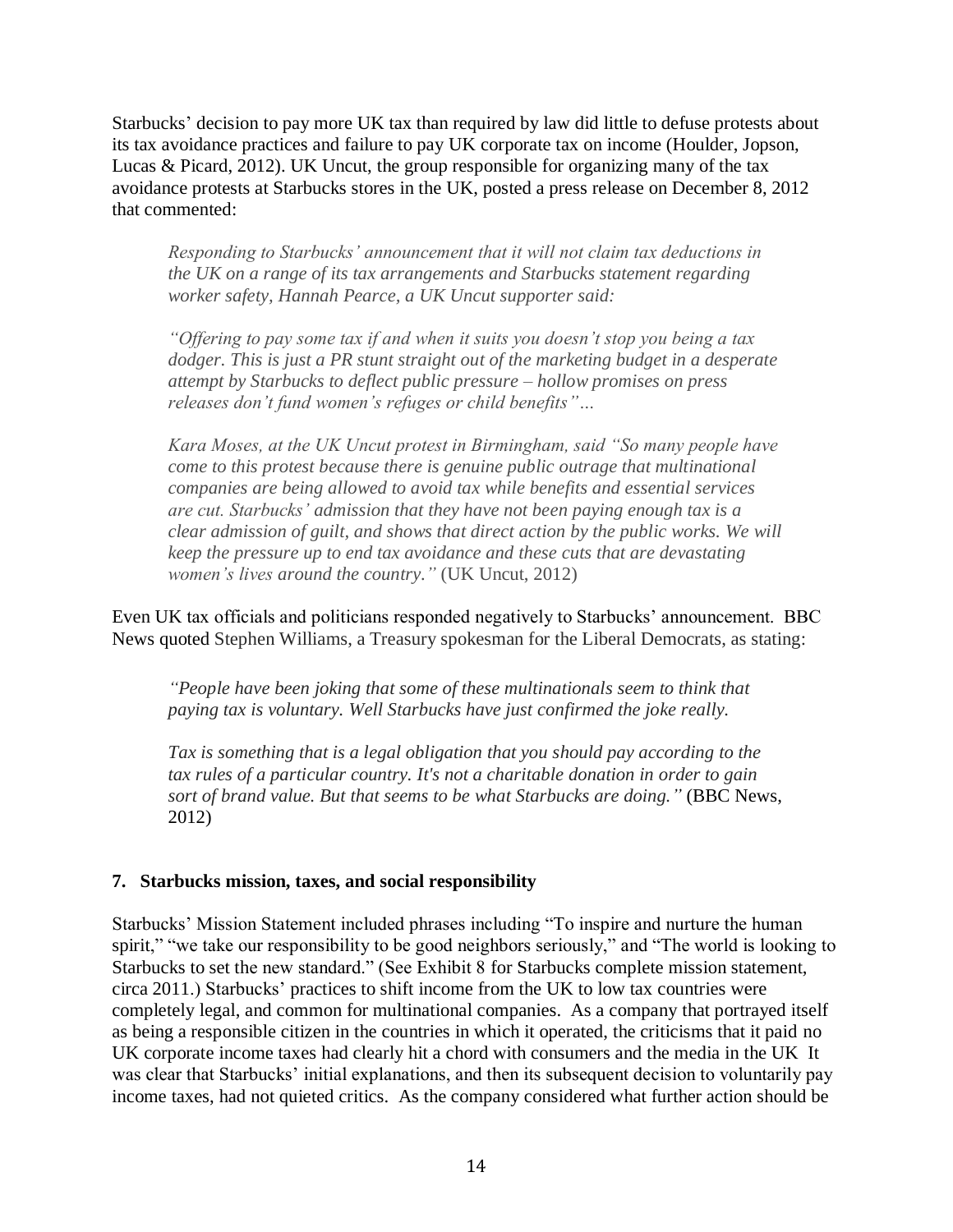Starbucks' decision to pay more UK tax than required by law did little to defuse protests about its tax avoidance practices and failure to pay UK corporate tax on income (Houlder, Jopson, Lucas & Picard, 2012). UK Uncut, the group responsible for organizing many of the tax avoidance protests at Starbucks stores in the UK, posted a press release on December 8, 2012 that commented:

*Responding to Starbucks' announcement that it will not claim tax deductions in the UK on a range of its tax arrangements and Starbucks statement regarding worker safety, Hannah Pearce, a UK Uncut supporter said:*

*"Offering to pay some tax if and when it suits you doesn't stop you being a tax dodger. This is just a PR stunt straight out of the marketing budget in a desperate attempt by Starbucks to deflect public pressure – hollow promises on press releases don't fund women's refuges or child benefits"…*

*Kara Moses, at the UK Uncut protest in Birmingham, said "So many people have come to this protest because there is genuine public outrage that multinational companies are being allowed to avoid tax while benefits and essential services are cut. Starbucks' admission that they have not been paying enough tax is a clear admission of guilt, and shows that direct action by the public works. We will keep the pressure up to end tax avoidance and these cuts that are devastating women's lives around the country."* (UK Uncut, 2012)

Even UK tax officials and politicians responded negatively to Starbucks' announcement. BBC News quoted Stephen Williams, a Treasury spokesman for the Liberal Democrats, as stating:

*"People have been joking that some of these multinationals seem to think that paying tax is voluntary. Well Starbucks have just confirmed the joke really.*

*Tax is something that is a legal obligation that you should pay according to the tax rules of a particular country. It's not a charitable donation in order to gain sort of brand value. But that seems to be what Starbucks are doing."* (BBC News, 2012)

# **7. Starbucks mission, taxes, and social responsibility**

Starbucks' Mission Statement included phrases including "To inspire and nurture the human spirit," "we take our responsibility to be good neighbors seriously," and "The world is looking to Starbucks to set the new standard." (See Exhibit 8 for Starbucks complete mission statement, circa 2011.) Starbucks' practices to shift income from the UK to low tax countries were completely legal, and common for multinational companies. As a company that portrayed itself as being a responsible citizen in the countries in which it operated, the criticisms that it paid no UK corporate income taxes had clearly hit a chord with consumers and the media in the UK It was clear that Starbucks' initial explanations, and then its subsequent decision to voluntarily pay income taxes, had not quieted critics. As the company considered what further action should be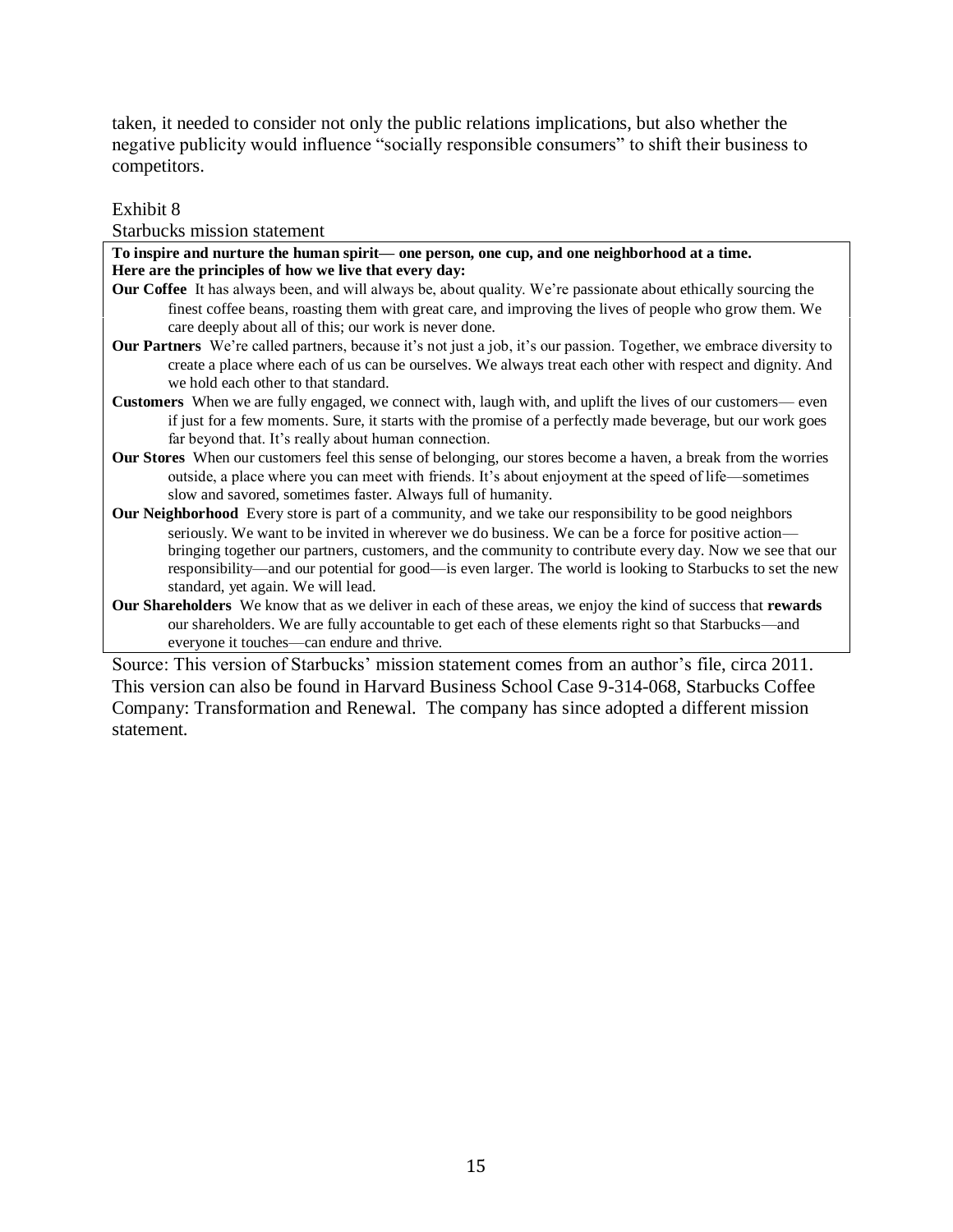taken, it needed to consider not only the public relations implications, but also whether the negative publicity would influence "socially responsible consumers" to shift their business to competitors.

Exhibit 8

Starbucks mission statement

| To inspire and nurture the human spirit— one person, one cup, and one neighborhood at a time.                                                                                                                                                                                                   |
|-------------------------------------------------------------------------------------------------------------------------------------------------------------------------------------------------------------------------------------------------------------------------------------------------|
| Here are the principles of how we live that every day:                                                                                                                                                                                                                                          |
| <b>Our Coffee</b> It has always been, and will always be, about quality. We're passionate about ethically sourcing the                                                                                                                                                                          |
| finest coffee beans, roasting them with great care, and improving the lives of people who grow them. We<br>care deeply about all of this; our work is never done.                                                                                                                               |
| <b>Our Partners</b> We're called partners, because it's not just a job, it's our passion. Together, we embrace diversity to                                                                                                                                                                     |
| create a place where each of us can be ourselves. We always treat each other with respect and dignity. And                                                                                                                                                                                      |
| we hold each other to that standard.                                                                                                                                                                                                                                                            |
| Customers When we are fully engaged, we connect with, laugh with, and uplift the lives of our customers— even                                                                                                                                                                                   |
| if just for a few moments. Sure, it starts with the promise of a perfectly made beverage, but our work goes                                                                                                                                                                                     |
| far beyond that. It's really about human connection.                                                                                                                                                                                                                                            |
| <b>Our Stores</b> When our customers feel this sense of belonging, our stores become a haven, a break from the worries<br>outside, a place where you can meet with friends. It's about enjoyment at the speed of life—sometimes<br>slow and savored, sometimes faster. Always full of humanity. |
| <b>Our Neighborhood</b> Every store is part of a community, and we take our responsibility to be good neighbors                                                                                                                                                                                 |
| seriously. We want to be invited in wherever we do business. We can be a force for positive action—                                                                                                                                                                                             |
| bringing together our partners, customers, and the community to contribute every day. Now we see that our                                                                                                                                                                                       |
| responsibility—and our potential for good—is even larger. The world is looking to Starbucks to set the new                                                                                                                                                                                      |
| standard, yet again. We will lead.                                                                                                                                                                                                                                                              |
| Our Shareholders We know that as we deliver in each of these areas, we enjoy the kind of success that rewards                                                                                                                                                                                   |
| our shareholders. We are fully accountable to get each of these elements right so that Starbucks—and                                                                                                                                                                                            |
| everyone it touches—can endure and thrive.                                                                                                                                                                                                                                                      |
| $\sim$ $\sim$ $\sim$                                                                                                                                                                                                                                                                            |

Source: This version of Starbucks' mission statement comes from an author's file, circa 2011. This version can also be found in Harvard Business School Case 9-314-068, Starbucks Coffee Company: Transformation and Renewal. The company has since adopted a different mission statement.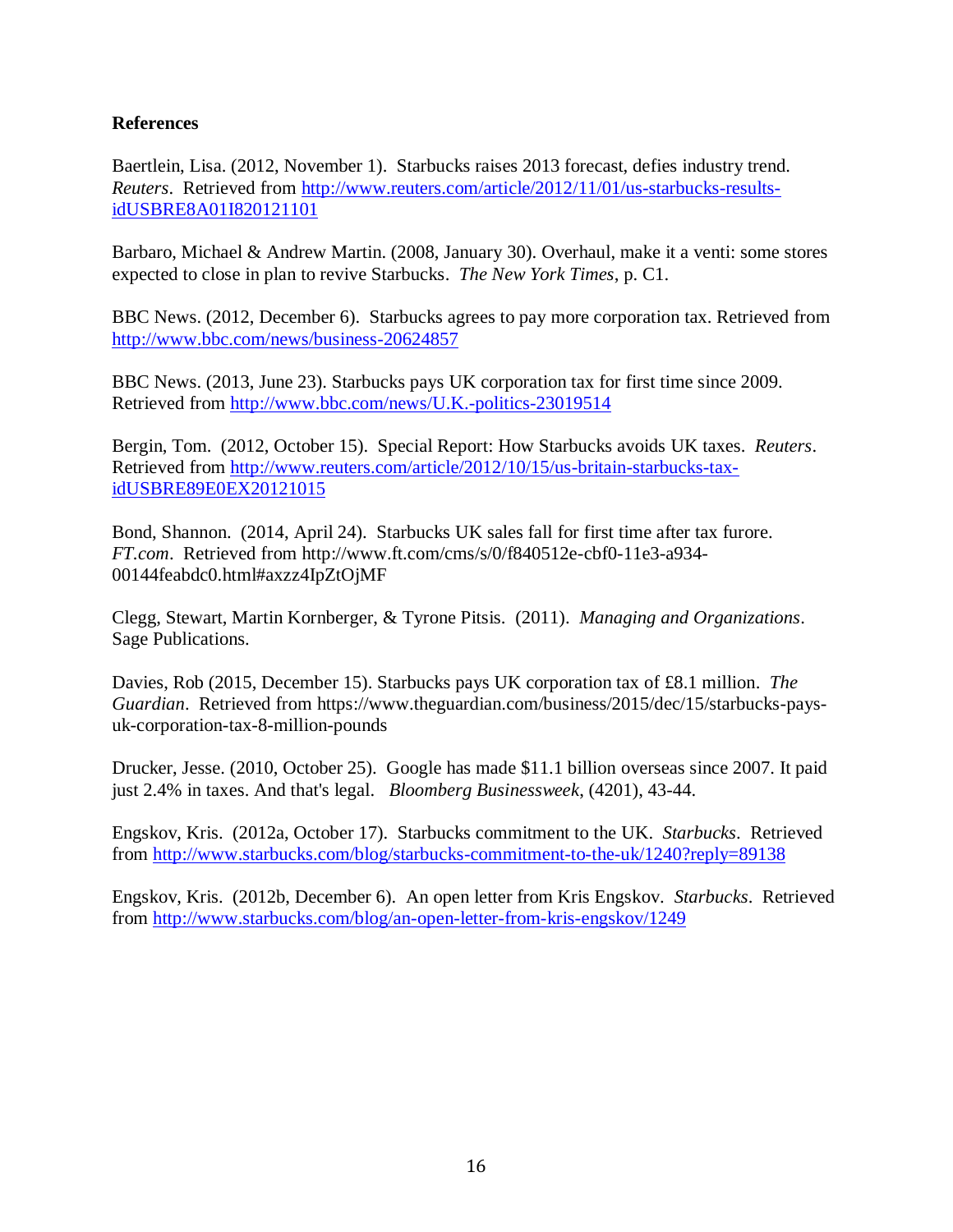### **References**

Baertlein, Lisa. (2012, November 1). Starbucks raises 2013 forecast, defies industry trend. *Reuters*. Retrieved from [http://www.reuters.com/article/2012/11/01/us-starbucks-results](http://www.reuters.com/article/2012/11/01/us-starbucks-results-idUSBRE8A01I820121101)[idUSBRE8A01I820121101](http://www.reuters.com/article/2012/11/01/us-starbucks-results-idUSBRE8A01I820121101)

Barbaro, Michael & Andrew Martin. (2008, January 30). Overhaul, make it a venti: some stores expected to close in plan to revive Starbucks. *The New York Times*, p. C1.

BBC News. (2012, December 6). Starbucks agrees to pay more corporation tax. Retrieved from <http://www.bbc.com/news/business-20624857>

BBC News. (2013, June 23). Starbucks pays UK corporation tax for first time since 2009. Retrieved from [http://www.bbc.com/news/U.K.-politics-23019514](http://www.bbc.com/news/uk-politics-23019514)

Bergin, Tom. (2012, October 15). Special Report: How Starbucks avoids UK taxes. *Reuters*. Retrieved from [http://www.reuters.com/article/2012/10/15/us-britain-starbucks-tax](http://www.reuters.com/article/2012/10/15/us-britain-starbucks-tax-idUSBRE89E0EX20121015)[idUSBRE89E0EX20121015](http://www.reuters.com/article/2012/10/15/us-britain-starbucks-tax-idUSBRE89E0EX20121015)

Bond, Shannon. (2014, April 24). Starbucks UK sales fall for first time after tax furore. *FT.com*. Retrieved from http://www.ft.com/cms/s/0/f840512e-cbf0-11e3-a934- 00144feabdc0.html#axzz4IpZtOjMF

Clegg, Stewart, Martin Kornberger, & Tyrone Pitsis. (2011). *Managing and Organizations*. Sage Publications.

Davies, Rob (2015, December 15). Starbucks pays UK corporation tax of £8.1 million. *The Guardian*. Retrieved from https://www.theguardian.com/business/2015/dec/15/starbucks-paysuk-corporation-tax-8-million-pounds

Drucker, Jesse. (2010, October 25). Google has made \$11.1 billion overseas since 2007. It paid just 2.4% in taxes. And that's legal. *Bloomberg Businessweek*, (4201), 43-44.

Engskov, Kris. (2012a, October 17). Starbucks commitment to the UK. *Starbucks*. Retrieved from<http://www.starbucks.com/blog/starbucks-commitment-to-the-uk/1240?reply=89138>

Engskov, Kris. (2012b, December 6). An open letter from Kris Engskov. *Starbucks*. Retrieved from<http://www.starbucks.com/blog/an-open-letter-from-kris-engskov/1249>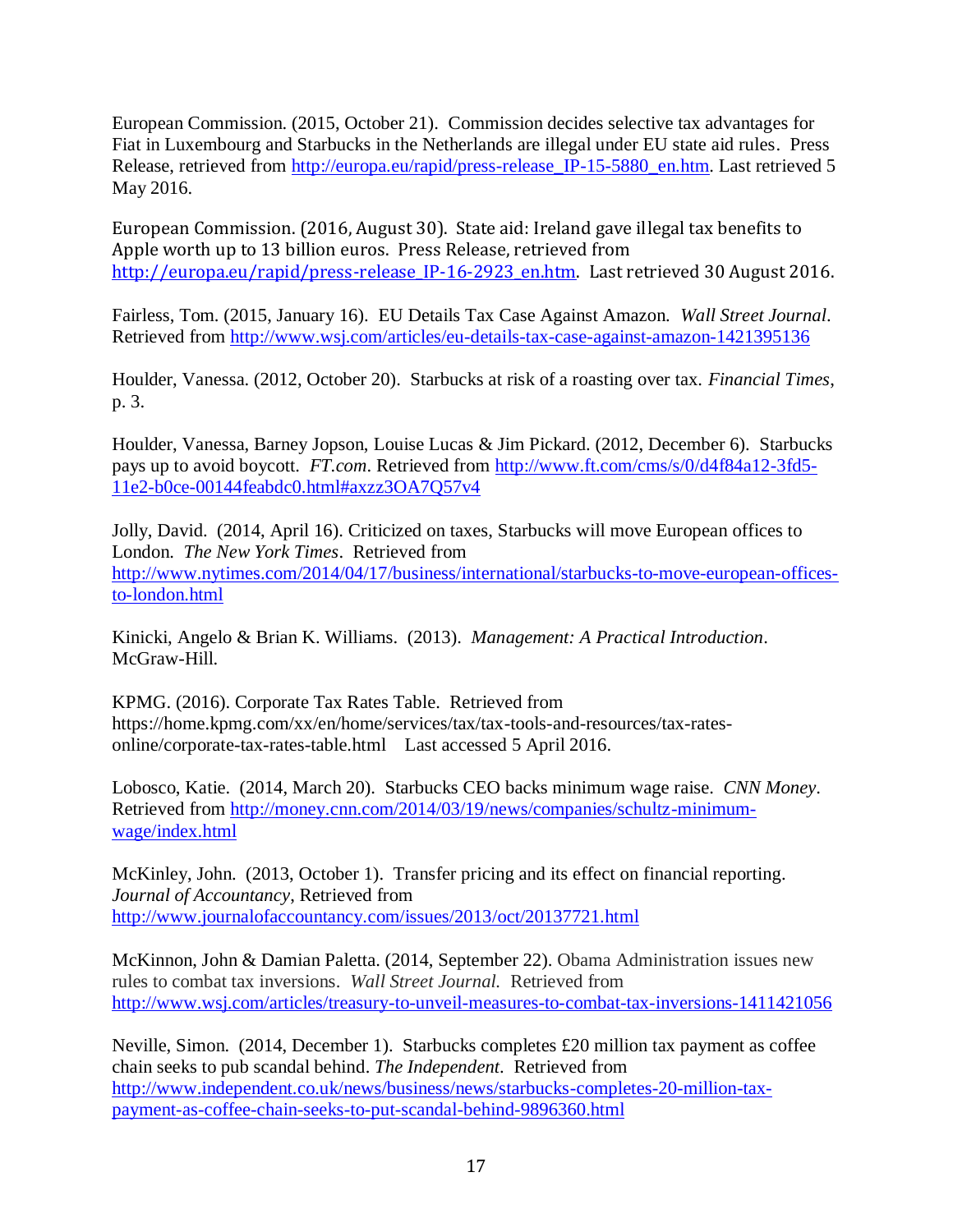European Commission. (2015, October 21). Commission decides selective tax advantages for Fiat in Luxembourg and Starbucks in the Netherlands are illegal under EU state aid rules. Press Release, retrieved from [http://europa.eu/rapid/press-release\\_IP-15-5880\\_en.htm.](http://europa.eu/rapid/press-release_IP-15-5880_en.htm) Last retrieved 5 May 2016.

European Commission. (2016, August 30). State aid: Ireland gave illegal tax benefits to Apple worth up to 13 billion euros. Press Release, retrieved from http://europa.eu/rapid/press-release IP-16-2923 en.htm. Last retrieved 30 August 2016.

Fairless, Tom. (2015, January 16). EU Details Tax Case Against Amazon. *Wall Street Journal*. Retrieved from<http://www.wsj.com/articles/eu-details-tax-case-against-amazon-1421395136>

Houlder, Vanessa. (2012, October 20). Starbucks at risk of a roasting over tax. *Financial Times*, p. 3.

Houlder, Vanessa, Barney Jopson, Louise Lucas & Jim Pickard. (2012, December 6). Starbucks pays up to avoid boycott. *FT.com*. Retrieved from [http://www.ft.com/cms/s/0/d4f84a12-3fd5-](http://www.ft.com/cms/s/0/d4f84a12-3fd5-11e2-b0ce-00144feabdc0.html#axzz3OA7Q57v4) [11e2-b0ce-00144feabdc0.html#axzz3OA7Q57v4](http://www.ft.com/cms/s/0/d4f84a12-3fd5-11e2-b0ce-00144feabdc0.html#axzz3OA7Q57v4)

Jolly, David. (2014, April 16). Criticized on taxes, Starbucks will move European offices to London. *The New York Times*. Retrieved from [http://www.nytimes.com/2014/04/17/business/international/starbucks-to-move-european-offices](http://www.nytimes.com/2014/04/17/business/international/starbucks-to-move-european-offices-to-london.html)[to-london.html](http://www.nytimes.com/2014/04/17/business/international/starbucks-to-move-european-offices-to-london.html) 

Kinicki, Angelo & Brian K. Williams. (2013). *Management: A Practical Introduction*. McGraw-Hill.

KPMG. (2016). Corporate Tax Rates Table. Retrieved from https://home.kpmg.com/xx/en/home/services/tax/tax-tools-and-resources/tax-ratesonline/corporate-tax-rates-table.html Last accessed 5 April 2016.

Lobosco, Katie. (2014, March 20). Starbucks CEO backs minimum wage raise. *CNN Money*. Retrieved from [http://money.cnn.com/2014/03/19/news/companies/schultz-minimum](http://money.cnn.com/2014/03/19/news/companies/schultz-minimum-wage/index.html)[wage/index.html](http://money.cnn.com/2014/03/19/news/companies/schultz-minimum-wage/index.html)

McKinley, John. (2013, October 1). Transfer pricing and its effect on financial reporting. *Journal of Accountancy*, Retrieved from <http://www.journalofaccountancy.com/issues/2013/oct/20137721.html>

McKinnon, John & Damian Paletta. (2014, September 22). Obama Administration issues new rules to combat tax inversions. *Wall Street Journal.* Retrieved from <http://www.wsj.com/articles/treasury-to-unveil-measures-to-combat-tax-inversions-1411421056>

Neville, Simon. (2014, December 1). Starbucks completes £20 million tax payment as coffee chain seeks to pub scandal behind. *The Independent*. Retrieved from [http://www.independent.co.uk/news/business/news/starbucks-completes-20-million-tax](http://www.independent.co.uk/news/business/news/starbucks-completes-20-million-tax-payment-as-coffee-chain-seeks-to-put-scandal-behind-9896360.html)[payment-as-coffee-chain-seeks-to-put-scandal-behind-9896360.html](http://www.independent.co.uk/news/business/news/starbucks-completes-20-million-tax-payment-as-coffee-chain-seeks-to-put-scandal-behind-9896360.html)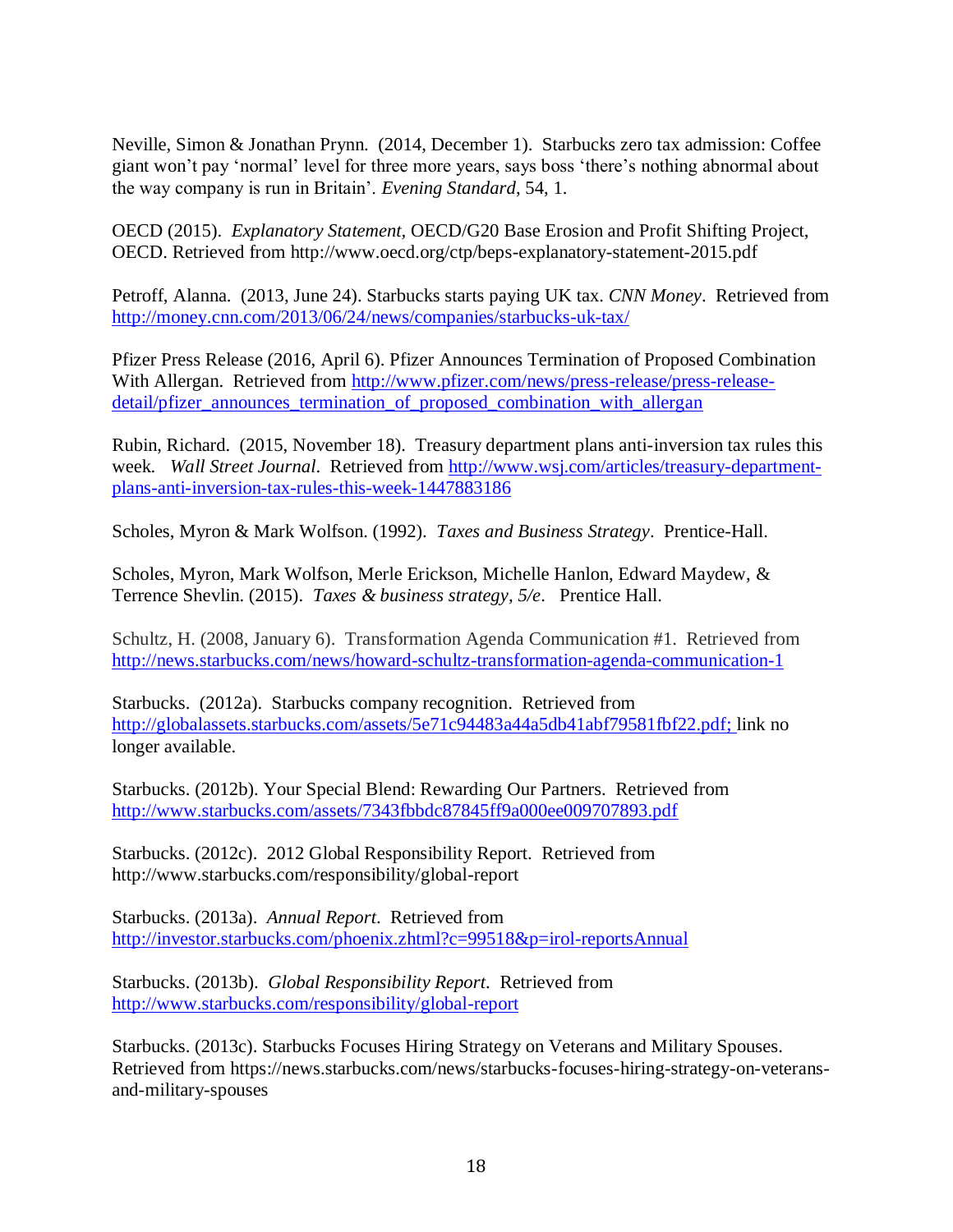Neville, Simon & Jonathan Prynn. (2014, December 1). Starbucks zero tax admission: Coffee giant won't pay 'normal' level for three more years, says boss 'there's nothing abnormal about the way company is run in Britain'. *Evening Standard*, 54, 1.

OECD (2015). *Explanatory Statement,* OECD/G20 Base Erosion and Profit Shifting Project, OECD. Retrieved from http://www.oecd.org/ctp/beps-explanatory-statement-2015.pdf

Petroff, Alanna. (2013, June 24). Starbucks starts paying UK tax. *CNN Money*. Retrieved from <http://money.cnn.com/2013/06/24/news/companies/starbucks-uk-tax/>

Pfizer Press Release (2016, April 6). Pfizer Announces Termination of Proposed Combination With Allergan. Retrieved from [http://www.pfizer.com/news/press-release/press-release](http://www.pfizer.com/news/press-release/press-release-detail/pfizer_announces_termination_of_proposed_combination_with_allergan)[detail/pfizer\\_announces\\_termination\\_of\\_proposed\\_combination\\_with\\_allergan](http://www.pfizer.com/news/press-release/press-release-detail/pfizer_announces_termination_of_proposed_combination_with_allergan)

Rubin, Richard. (2015, November 18). Treasury department plans anti-inversion tax rules this week. *Wall Street Journal*. Retrieved from [http://www.wsj.com/articles/treasury-department](http://www.wsj.com/articles/treasury-department-plans-anti-inversion-tax-rules-this-week-1447883186)[plans-anti-inversion-tax-rules-this-week-1447883186](http://www.wsj.com/articles/treasury-department-plans-anti-inversion-tax-rules-this-week-1447883186)

Scholes, Myron & Mark Wolfson. (1992). *Taxes and Business Strategy*. Prentice-Hall.

Scholes, Myron, Mark Wolfson, Merle Erickson, Michelle Hanlon, Edward Maydew, & Terrence Shevlin. (2015). *Taxes & business strategy, 5/e*. Prentice Hall.

Schultz, H. (2008, January 6). Transformation Agenda Communication #1. Retrieved from <http://news.starbucks.com/news/howard-schultz-transformation-agenda-communication-1>

Starbucks. (2012a). Starbucks company recognition. Retrieved from [http://globalassets.starbucks.com/assets/5e71c94483a44a5db41abf79581fbf22.pdf;](http://globalassets.starbucks.com/assets/5e71c94483a44a5db41abf79581fbf22.pdf) link no longer available.

Starbucks. (2012b). Your Special Blend: Rewarding Our Partners. Retrieved from <http://www.starbucks.com/assets/7343fbbdc87845ff9a000ee009707893.pdf>

Starbucks. (2012c). 2012 Global Responsibility Report. Retrieved from http://www.starbucks.com/responsibility/global-report

Starbucks. (2013a). *Annual Report*. Retrieved from <http://investor.starbucks.com/phoenix.zhtml?c=99518&p=irol-reportsAnnual>

Starbucks. (2013b). *Global Responsibility Report*. Retrieved from <http://www.starbucks.com/responsibility/global-report>

Starbucks. (2013c). Starbucks Focuses Hiring Strategy on Veterans and Military Spouses. Retrieved from https://news.starbucks.com/news/starbucks-focuses-hiring-strategy-on-veteransand-military-spouses